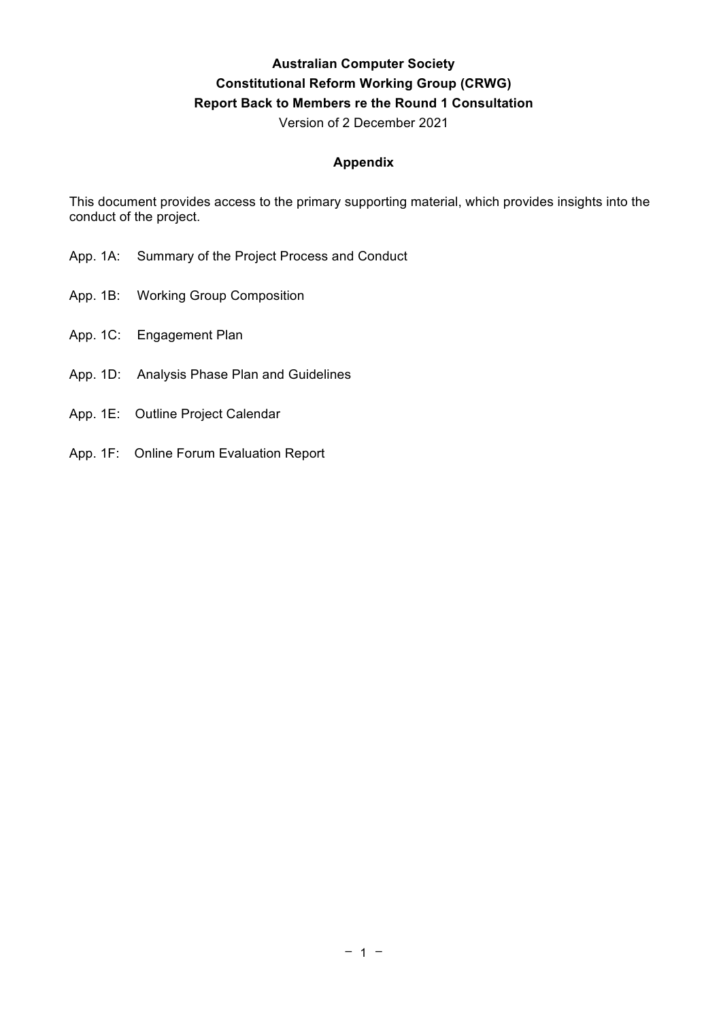## **Australian Computer Society Constitutional Reform Working Group (CRWG) Report Back to Members re the Round 1 Consultation**

Version of 2 December 2021

#### **Appendix**

This document provides access to the primary supporting material, which provides insights into the conduct of the project.

- App. 1A: Summary of the Project Process and Conduct
- App. 1B: Working Group Composition
- App. 1C: Engagement Plan
- App. 1D: Analysis Phase Plan and Guidelines
- App. 1E: Outline Project Calendar
- App. 1F: Online Forum Evaluation Report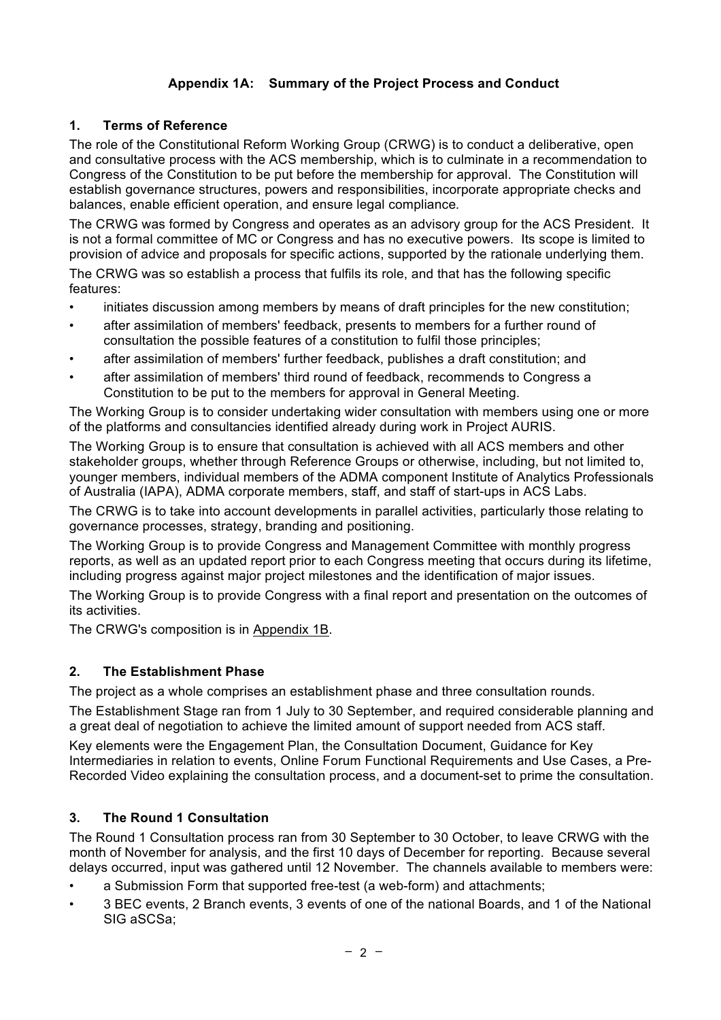## **Appendix 1A: Summary of the Project Process and Conduct**

## **1. Terms of Reference**

The role of the Constitutional Reform Working Group (CRWG) is to conduct a deliberative, open and consultative process with the ACS membership, which is to culminate in a recommendation to Congress of the Constitution to be put before the membership for approval. The Constitution will establish governance structures, powers and responsibilities, incorporate appropriate checks and balances, enable efficient operation, and ensure legal compliance*.*

The CRWG was formed by Congress and operates as an advisory group for the ACS President. It is not a formal committee of MC or Congress and has no executive powers. Its scope is limited to provision of advice and proposals for specific actions, supported by the rationale underlying them.

The CRWG was so establish a process that fulfils its role, and that has the following specific features:

- initiates discussion among members by means of draft principles for the new constitution;
- after assimilation of members' feedback, presents to members for a further round of consultation the possible features of a constitution to fulfil those principles;
- after assimilation of members' further feedback, publishes a draft constitution; and
- after assimilation of members' third round of feedback, recommends to Congress a Constitution to be put to the members for approval in General Meeting.

The Working Group is to consider undertaking wider consultation with members using one or more of the platforms and consultancies identified already during work in Project AURIS.

The Working Group is to ensure that consultation is achieved with all ACS members and other stakeholder groups, whether through Reference Groups or otherwise, including, but not limited to, younger members, individual members of the ADMA component Institute of Analytics Professionals of Australia (IAPA), ADMA corporate members, staff, and staff of start-ups in ACS Labs.

The CRWG is to take into account developments in parallel activities, particularly those relating to governance processes, strategy, branding and positioning.

The Working Group is to provide Congress and Management Committee with monthly progress reports, as well as an updated report prior to each Congress meeting that occurs during its lifetime, including progress against major project milestones and the identification of major issues.

The Working Group is to provide Congress with a final report and presentation on the outcomes of its activities.

The CRWG's composition is in Appendix 1B.

## **2. The Establishment Phase**

The project as a whole comprises an establishment phase and three consultation rounds.

The Establishment Stage ran from 1 July to 30 September, and required considerable planning and a great deal of negotiation to achieve the limited amount of support needed from ACS staff.

Key elements were the Engagement Plan, the Consultation Document, Guidance for Key Intermediaries in relation to events, Online Forum Functional Requirements and Use Cases, a Pre-Recorded Video explaining the consultation process, and a document-set to prime the consultation.

## **3. The Round 1 Consultation**

The Round 1 Consultation process ran from 30 September to 30 October, to leave CRWG with the month of November for analysis, and the first 10 days of December for reporting. Because several delays occurred, input was gathered until 12 November. The channels available to members were:

- a Submission Form that supported free-test (a web-form) and attachments;
- 3 BEC events, 2 Branch events, 3 events of one of the national Boards, and 1 of the National SIG aSCSa;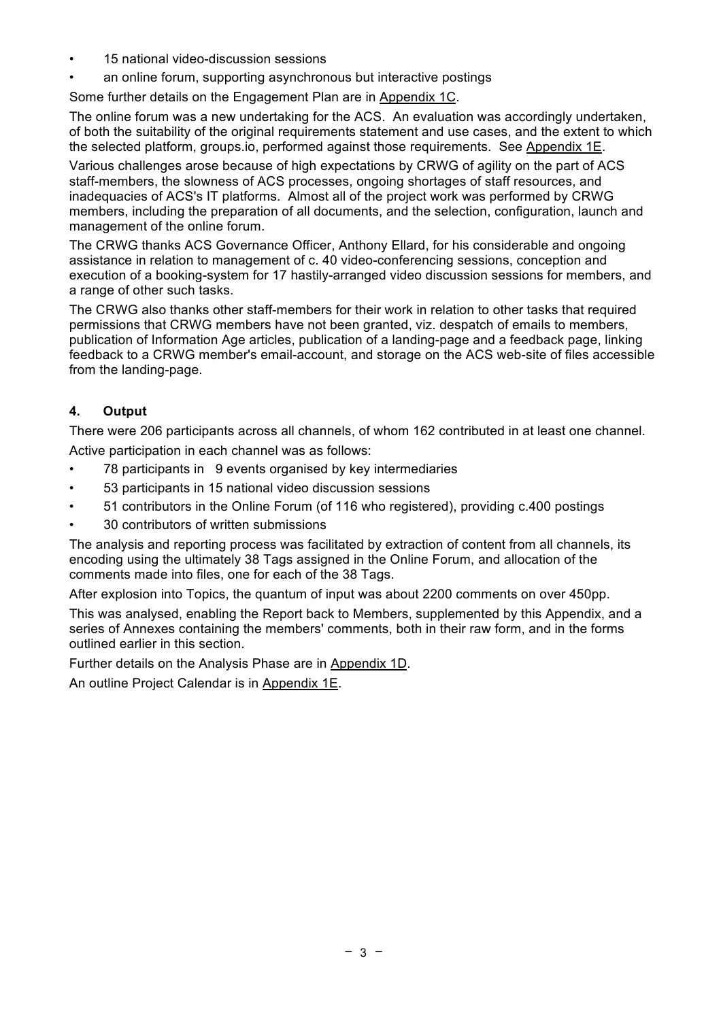- 15 national video-discussion sessions
- an online forum, supporting asynchronous but interactive postings

Some further details on the Engagement Plan are in Appendix 1C.

The online forum was a new undertaking for the ACS. An evaluation was accordingly undertaken, of both the suitability of the original requirements statement and use cases, and the extent to which the selected platform, groups.io, performed against those requirements. See Appendix 1E.

Various challenges arose because of high expectations by CRWG of agility on the part of ACS staff-members, the slowness of ACS processes, ongoing shortages of staff resources, and inadequacies of ACS's IT platforms. Almost all of the project work was performed by CRWG members, including the preparation of all documents, and the selection, configuration, launch and management of the online forum.

The CRWG thanks ACS Governance Officer, Anthony Ellard, for his considerable and ongoing assistance in relation to management of c. 40 video-conferencing sessions, conception and execution of a booking-system for 17 hastily-arranged video discussion sessions for members, and a range of other such tasks.

The CRWG also thanks other staff-members for their work in relation to other tasks that required permissions that CRWG members have not been granted, viz. despatch of emails to members, publication of Information Age articles, publication of a landing-page and a feedback page, linking feedback to a CRWG member's email-account, and storage on the ACS web-site of files accessible from the landing-page.

## **4. Output**

There were 206 participants across all channels, of whom 162 contributed in at least one channel. Active participation in each channel was as follows:

- 78 participants in 9 events organised by key intermediaries
- 53 participants in 15 national video discussion sessions
- 51 contributors in the Online Forum (of 116 who registered), providing c.400 postings
- 30 contributors of written submissions

The analysis and reporting process was facilitated by extraction of content from all channels, its encoding using the ultimately 38 Tags assigned in the Online Forum, and allocation of the comments made into files, one for each of the 38 Tags.

After explosion into Topics, the quantum of input was about 2200 comments on over 450pp.

This was analysed, enabling the Report back to Members, supplemented by this Appendix, and a series of Annexes containing the members' comments, both in their raw form, and in the forms outlined earlier in this section.

Further details on the Analysis Phase are in Appendix 1D.

An outline Project Calendar is in Appendix 1E.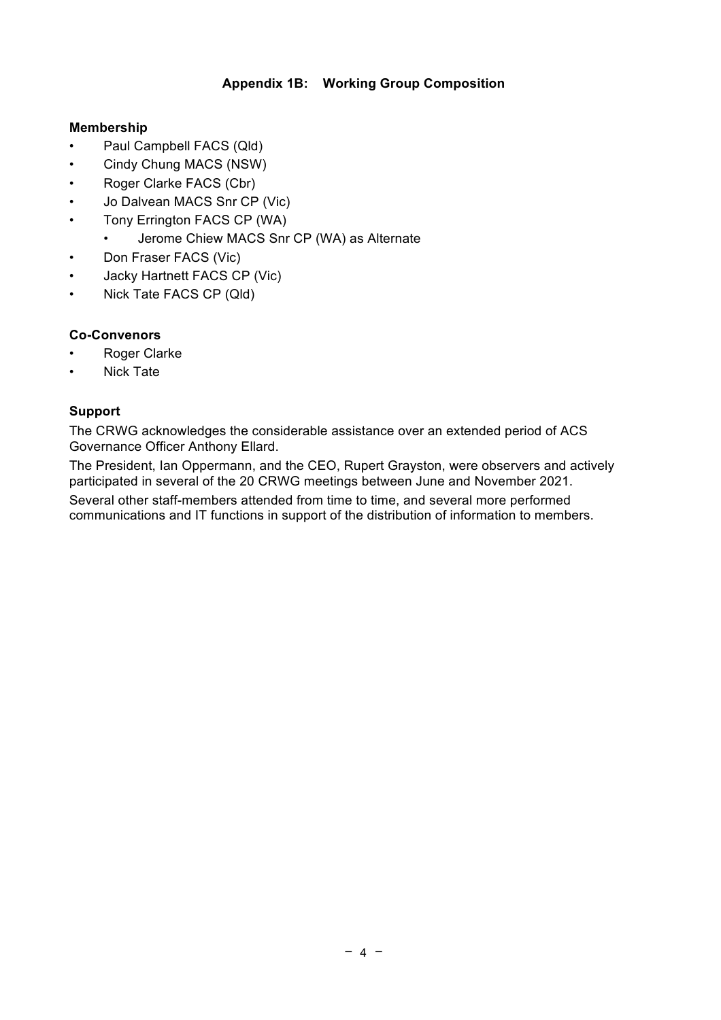#### **Appendix 1B: Working Group Composition**

#### **Membership**

- Paul Campbell FACS (Qld)
- Cindy Chung MACS (NSW)
- Roger Clarke FACS (Cbr)
- Jo Dalvean MACS Snr CP (Vic)
- Tony Errington FACS CP (WA)
	- Jerome Chiew MACS Snr CP (WA) as Alternate
- Don Fraser FACS (Vic)
- Jacky Hartnett FACS CP (Vic)
- Nick Tate FACS CP (Qld)

## **Co-Convenors**

- Roger Clarke
- Nick Tate

## **Support**

The CRWG acknowledges the considerable assistance over an extended period of ACS Governance Officer Anthony Ellard.

The President, Ian Oppermann, and the CEO, Rupert Grayston, were observers and actively participated in several of the 20 CRWG meetings between June and November 2021.

Several other staff-members attended from time to time, and several more performed communications and IT functions in support of the distribution of information to members.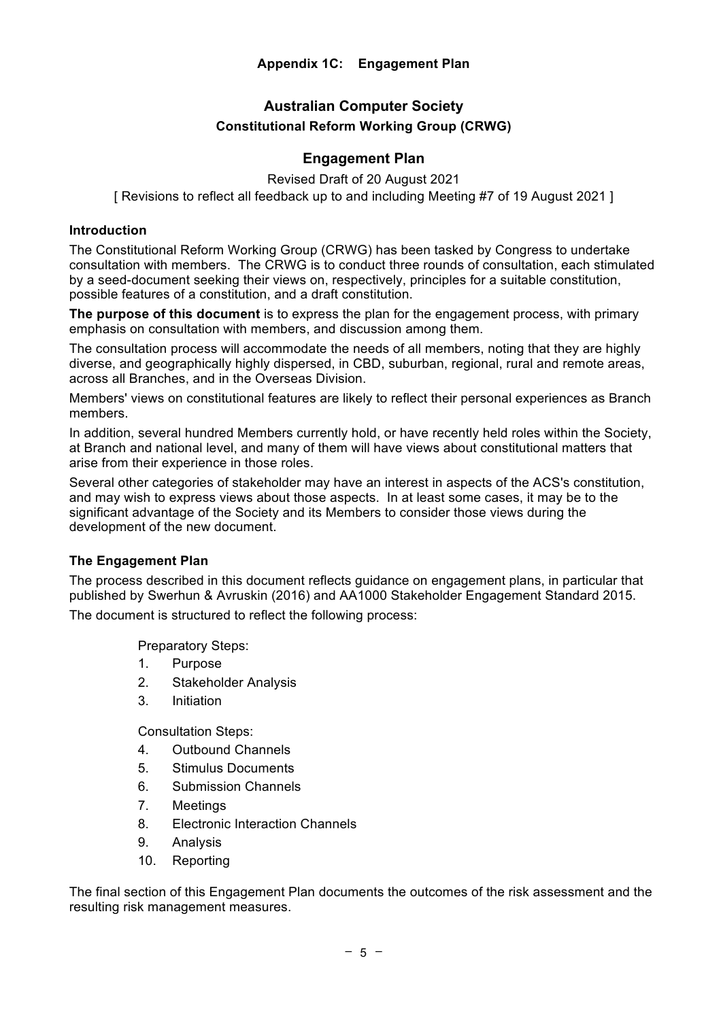## **Australian Computer Society Constitutional Reform Working Group (CRWG)**

#### **Engagement Plan**

Revised Draft of 20 August 2021 [ Revisions to reflect all feedback up to and including Meeting #7 of 19 August 2021 ]

#### **Introduction**

The Constitutional Reform Working Group (CRWG) has been tasked by Congress to undertake consultation with members. The CRWG is to conduct three rounds of consultation, each stimulated by a seed-document seeking their views on, respectively, principles for a suitable constitution, possible features of a constitution, and a draft constitution.

**The purpose of this document** is to express the plan for the engagement process, with primary emphasis on consultation with members, and discussion among them.

The consultation process will accommodate the needs of all members, noting that they are highly diverse, and geographically highly dispersed, in CBD, suburban, regional, rural and remote areas, across all Branches, and in the Overseas Division.

Members' views on constitutional features are likely to reflect their personal experiences as Branch members.

In addition, several hundred Members currently hold, or have recently held roles within the Society, at Branch and national level, and many of them will have views about constitutional matters that arise from their experience in those roles.

Several other categories of stakeholder may have an interest in aspects of the ACS's constitution, and may wish to express views about those aspects. In at least some cases, it may be to the significant advantage of the Society and its Members to consider those views during the development of the new document.

#### **The Engagement Plan**

The process described in this document reflects guidance on engagement plans, in particular that published by Swerhun & Avruskin (2016) and AA1000 Stakeholder Engagement Standard 2015. The document is structured to reflect the following process:

Preparatory Steps:

- 1. Purpose
- 2. Stakeholder Analysis
- 3. Initiation

Consultation Steps:

- 4. Outbound Channels
- 5. Stimulus Documents
- 6. Submission Channels
- 7. Meetings
- 8. Electronic Interaction Channels
- 9. Analysis
- 10. Reporting

The final section of this Engagement Plan documents the outcomes of the risk assessment and the resulting risk management measures.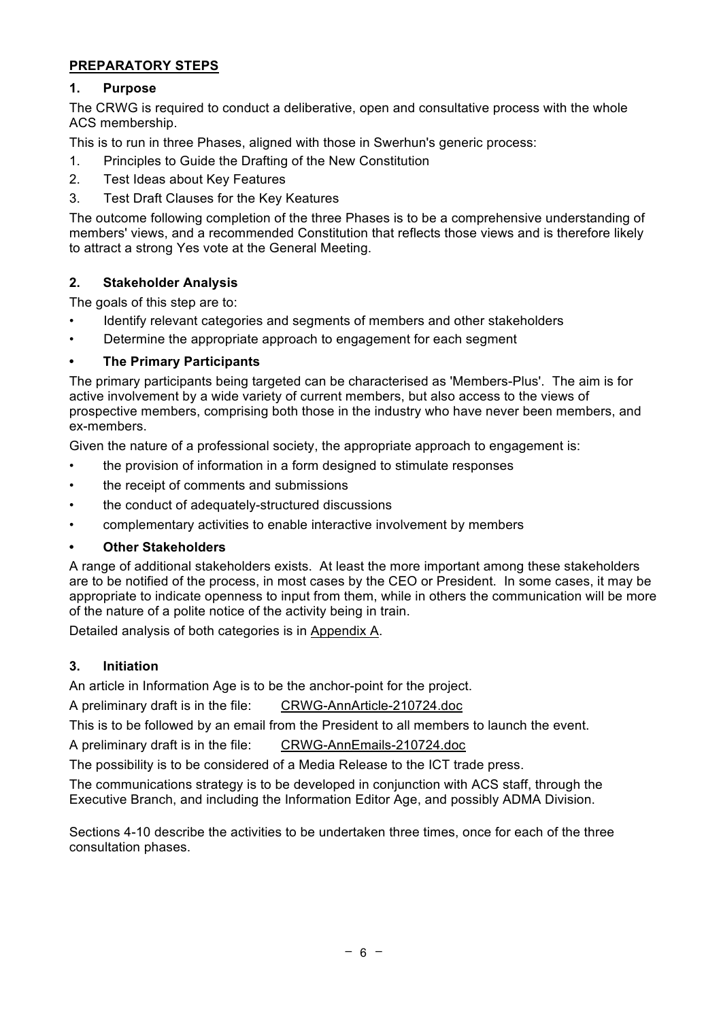## **PREPARATORY STEPS**

## **1. Purpose**

The CRWG is required to conduct a deliberative, open and consultative process with the whole ACS membership.

This is to run in three Phases, aligned with those in Swerhun's generic process:

- 1. Principles to Guide the Drafting of the New Constitution
- 2. Test Ideas about Key Features
- 3. Test Draft Clauses for the Key Keatures

The outcome following completion of the three Phases is to be a comprehensive understanding of members' views, and a recommended Constitution that reflects those views and is therefore likely to attract a strong Yes vote at the General Meeting.

## **2. Stakeholder Analysis**

The goals of this step are to:

- Identify relevant categories and segments of members and other stakeholders
- Determine the appropriate approach to engagement for each segment

#### **• The Primary Participants**

The primary participants being targeted can be characterised as 'Members-Plus'. The aim is for active involvement by a wide variety of current members, but also access to the views of prospective members, comprising both those in the industry who have never been members, and ex-members.

Given the nature of a professional society, the appropriate approach to engagement is:

- the provision of information in a form designed to stimulate responses
- the receipt of comments and submissions
- the conduct of adequately-structured discussions
- complementary activities to enable interactive involvement by members
- **• Other Stakeholders**

A range of additional stakeholders exists. At least the more important among these stakeholders are to be notified of the process, in most cases by the CEO or President. In some cases, it may be appropriate to indicate openness to input from them, while in others the communication will be more of the nature of a polite notice of the activity being in train.

Detailed analysis of both categories is in Appendix A.

## **3. Initiation**

An article in Information Age is to be the anchor-point for the project.

A preliminary draft is in the file: CRWG-AnnArticle-210724.doc

This is to be followed by an email from the President to all members to launch the event.

A preliminary draft is in the file: CRWG-AnnEmails-210724.doc

The possibility is to be considered of a Media Release to the ICT trade press.

The communications strategy is to be developed in conjunction with ACS staff, through the Executive Branch, and including the Information Editor Age, and possibly ADMA Division.

Sections 4-10 describe the activities to be undertaken three times, once for each of the three consultation phases.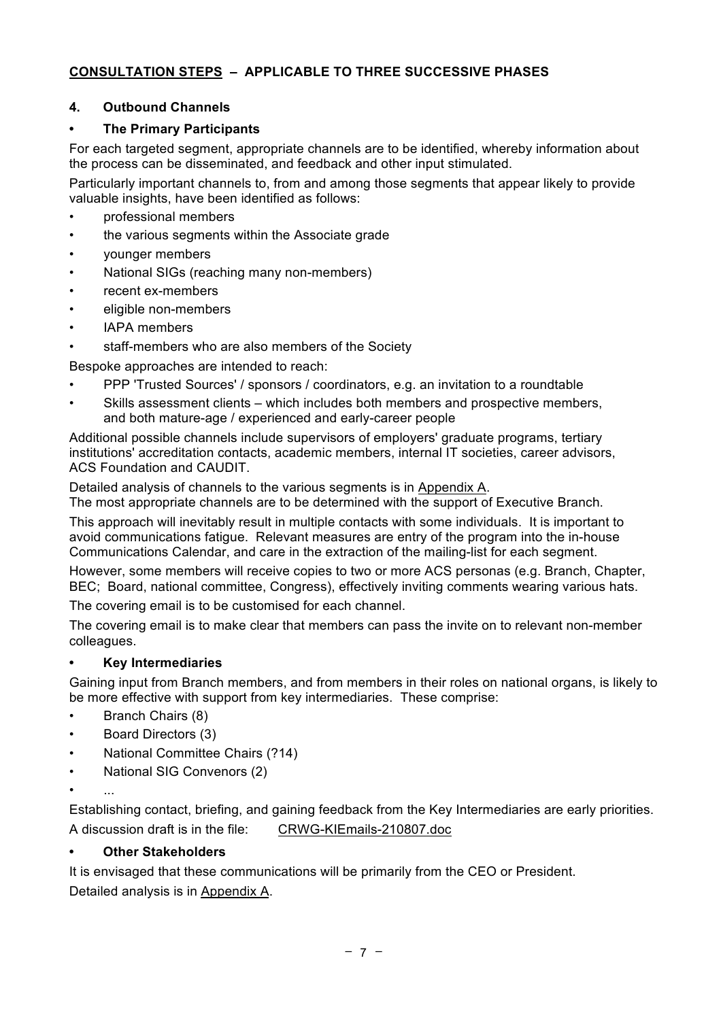## **CONSULTATION STEPS – APPLICABLE TO THREE SUCCESSIVE PHASES**

#### **4. Outbound Channels**

#### **• The Primary Participants**

For each targeted segment, appropriate channels are to be identified, whereby information about the process can be disseminated, and feedback and other input stimulated.

Particularly important channels to, from and among those segments that appear likely to provide valuable insights, have been identified as follows:

- professional members
- the various segments within the Associate grade
- younger members
- National SIGs (reaching many non-members)
- recent ex-members
- eligible non-members
- IAPA members
- staff-members who are also members of the Society

Bespoke approaches are intended to reach:

- PPP 'Trusted Sources' / sponsors / coordinators, e.g. an invitation to a roundtable
- Skills assessment clients which includes both members and prospective members, and both mature-age / experienced and early-career people

Additional possible channels include supervisors of employers' graduate programs, tertiary institutions' accreditation contacts, academic members, internal IT societies, career advisors, ACS Foundation and CAUDIT.

Detailed analysis of channels to the various segments is in Appendix A.

The most appropriate channels are to be determined with the support of Executive Branch.

This approach will inevitably result in multiple contacts with some individuals. It is important to avoid communications fatigue. Relevant measures are entry of the program into the in-house Communications Calendar, and care in the extraction of the mailing-list for each segment.

However, some members will receive copies to two or more ACS personas (e.g. Branch, Chapter, BEC; Board, national committee, Congress), effectively inviting comments wearing various hats.

The covering email is to be customised for each channel.

The covering email is to make clear that members can pass the invite on to relevant non-member colleagues.

#### **• Key Intermediaries**

Gaining input from Branch members, and from members in their roles on national organs, is likely to be more effective with support from key intermediaries. These comprise:

- Branch Chairs (8)
- Board Directors (3)
- National Committee Chairs (?14)
- National SIG Convenors (2)
- $\mathcal{L}_{\mathcal{P}}$

Establishing contact, briefing, and gaining feedback from the Key Intermediaries are early priorities. A discussion draft is in the file: CRWG-KIEmails-210807.doc

#### **• Other Stakeholders**

It is envisaged that these communications will be primarily from the CEO or President. Detailed analysis is in Appendix A.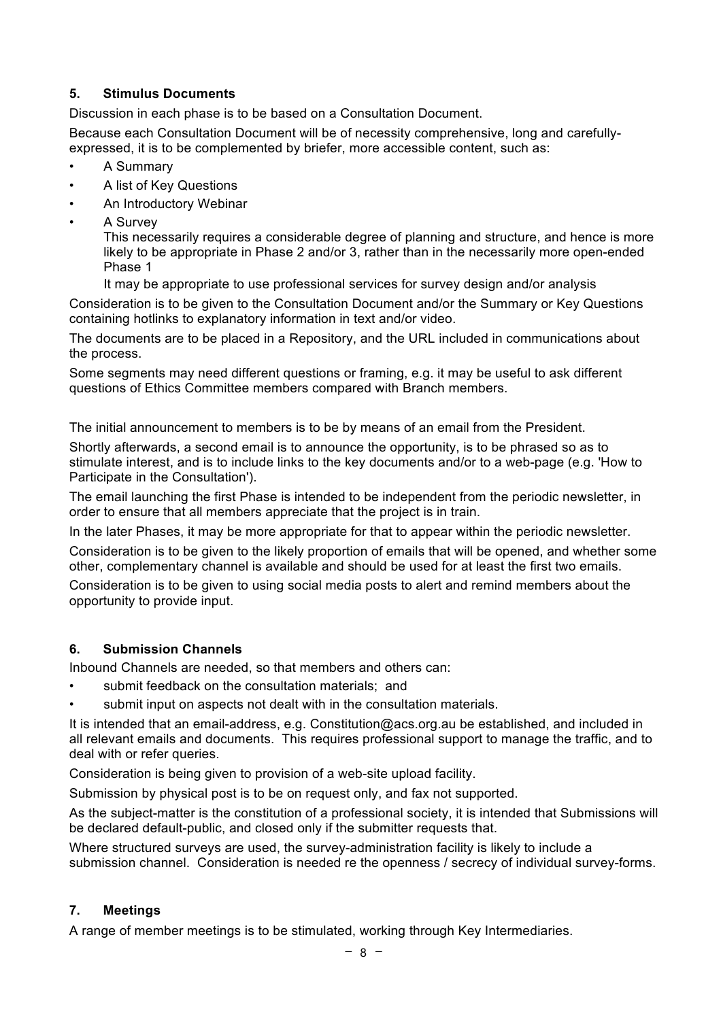## **5. Stimulus Documents**

Discussion in each phase is to be based on a Consultation Document.

Because each Consultation Document will be of necessity comprehensive, long and carefullyexpressed, it is to be complemented by briefer, more accessible content, such as:

- A Summary
- A list of Key Questions
- An Introductory Webinar
- A Survey

This necessarily requires a considerable degree of planning and structure, and hence is more likely to be appropriate in Phase 2 and/or 3, rather than in the necessarily more open-ended Phase 1

It may be appropriate to use professional services for survey design and/or analysis

Consideration is to be given to the Consultation Document and/or the Summary or Key Questions containing hotlinks to explanatory information in text and/or video.

The documents are to be placed in a Repository, and the URL included in communications about the process.

Some segments may need different questions or framing, e.g. it may be useful to ask different questions of Ethics Committee members compared with Branch members.

The initial announcement to members is to be by means of an email from the President.

Shortly afterwards, a second email is to announce the opportunity, is to be phrased so as to stimulate interest, and is to include links to the key documents and/or to a web-page (e.g. 'How to Participate in the Consultation').

The email launching the first Phase is intended to be independent from the periodic newsletter, in order to ensure that all members appreciate that the project is in train.

In the later Phases, it may be more appropriate for that to appear within the periodic newsletter.

Consideration is to be given to the likely proportion of emails that will be opened, and whether some other, complementary channel is available and should be used for at least the first two emails.

Consideration is to be given to using social media posts to alert and remind members about the opportunity to provide input.

## **6. Submission Channels**

Inbound Channels are needed, so that members and others can:

- submit feedback on the consultation materials; and
- submit input on aspects not dealt with in the consultation materials.

It is intended that an email-address, e.g. Constitution@acs.org.au be established, and included in all relevant emails and documents. This requires professional support to manage the traffic, and to deal with or refer queries.

Consideration is being given to provision of a web-site upload facility.

Submission by physical post is to be on request only, and fax not supported.

As the subject-matter is the constitution of a professional society, it is intended that Submissions will be declared default-public, and closed only if the submitter requests that.

Where structured surveys are used, the survey-administration facility is likely to include a submission channel. Consideration is needed re the openness / secrecy of individual survey-forms.

#### **7. Meetings**

A range of member meetings is to be stimulated, working through Key Intermediaries.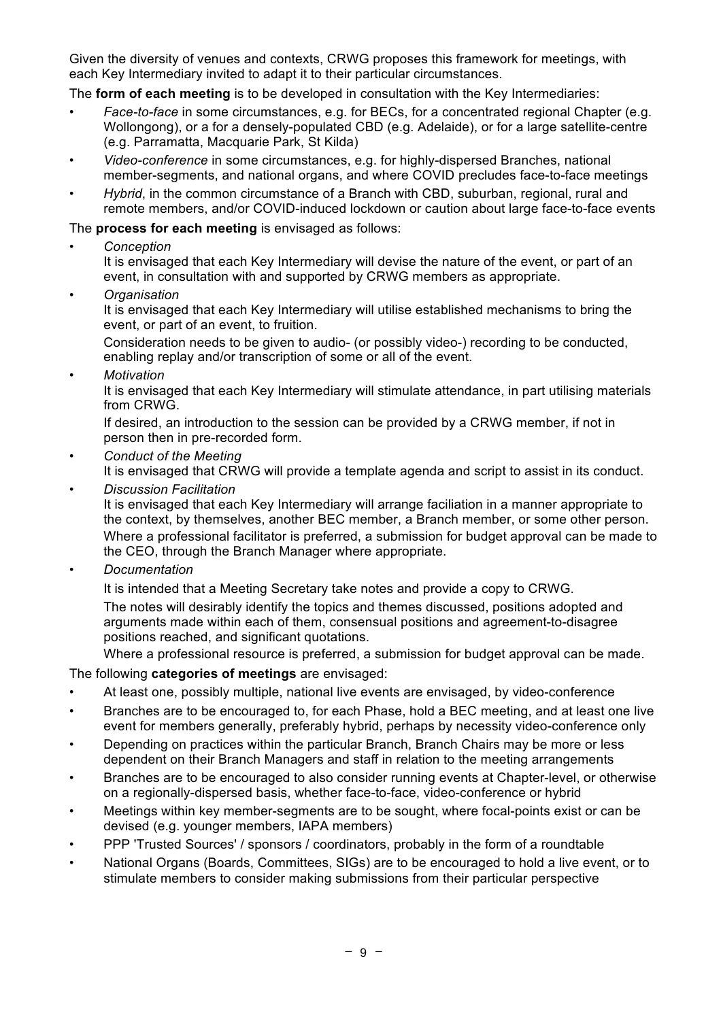Given the diversity of venues and contexts, CRWG proposes this framework for meetings, with each Key Intermediary invited to adapt it to their particular circumstances.

The **form of each meeting** is to be developed in consultation with the Key Intermediaries:

- *Face-to-face* in some circumstances, e.g. for BECs, for a concentrated regional Chapter (e.g. Wollongong), or a for a densely-populated CBD (e.g. Adelaide), or for a large satellite-centre (e.g. Parramatta, Macquarie Park, St Kilda)
- *Video-conference* in some circumstances, e.g. for highly-dispersed Branches, national member-segments, and national organs, and where COVID precludes face-to-face meetings
- *Hybrid*, in the common circumstance of a Branch with CBD, suburban, regional, rural and remote members, and/or COVID-induced lockdown or caution about large face-to-face events

The **process for each meeting** is envisaged as follows:

• *Conception*

It is envisaged that each Key Intermediary will devise the nature of the event, or part of an event, in consultation with and supported by CRWG members as appropriate.

• *Organisation*

It is envisaged that each Key Intermediary will utilise established mechanisms to bring the event, or part of an event, to fruition.

Consideration needs to be given to audio- (or possibly video-) recording to be conducted, enabling replay and/or transcription of some or all of the event.

• *Motivation*

It is envisaged that each Key Intermediary will stimulate attendance, in part utilising materials from CRWG.

If desired, an introduction to the session can be provided by a CRWG member, if not in person then in pre-recorded form.

• *Conduct of the Meeting*

It is envisaged that CRWG will provide a template agenda and script to assist in its conduct.

• *Discussion Facilitation*

It is envisaged that each Key Intermediary will arrange faciliation in a manner appropriate to the context, by themselves, another BEC member, a Branch member, or some other person. Where a professional facilitator is preferred, a submission for budget approval can be made to the CEO, through the Branch Manager where appropriate.

• *Documentation*

It is intended that a Meeting Secretary take notes and provide a copy to CRWG. The notes will desirably identify the topics and themes discussed, positions adopted and arguments made within each of them, consensual positions and agreement-to-disagree positions reached, and significant quotations.

Where a professional resource is preferred, a submission for budget approval can be made.

The following **categories of meetings** are envisaged:

- At least one, possibly multiple, national live events are envisaged, by video-conference
- Branches are to be encouraged to, for each Phase, hold a BEC meeting, and at least one live event for members generally, preferably hybrid, perhaps by necessity video-conference only
- Depending on practices within the particular Branch, Branch Chairs may be more or less dependent on their Branch Managers and staff in relation to the meeting arrangements
- Branches are to be encouraged to also consider running events at Chapter-level, or otherwise on a regionally-dispersed basis, whether face-to-face, video-conference or hybrid
- Meetings within key member-segments are to be sought, where focal-points exist or can be devised (e.g. younger members, IAPA members)
- PPP 'Trusted Sources' / sponsors / coordinators, probably in the form of a roundtable
- National Organs (Boards, Committees, SIGs) are to be encouraged to hold a live event, or to stimulate members to consider making submissions from their particular perspective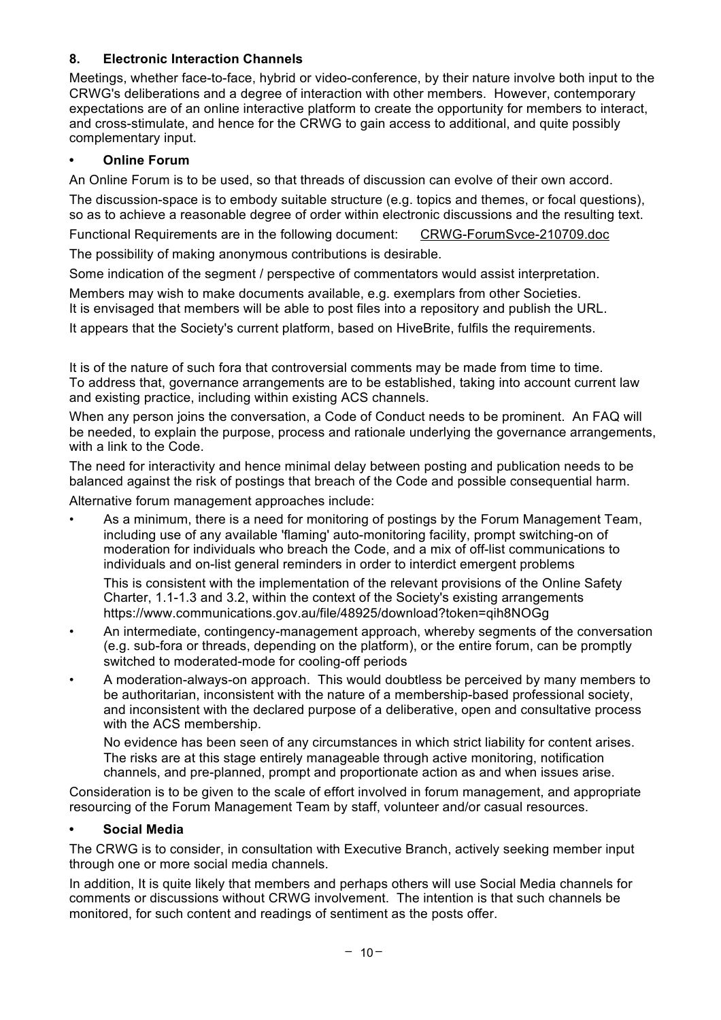## **8. Electronic Interaction Channels**

Meetings, whether face-to-face, hybrid or video-conference, by their nature involve both input to the CRWG's deliberations and a degree of interaction with other members. However, contemporary expectations are of an online interactive platform to create the opportunity for members to interact, and cross-stimulate, and hence for the CRWG to gain access to additional, and quite possibly complementary input.

## **• Online Forum**

An Online Forum is to be used, so that threads of discussion can evolve of their own accord.

The discussion-space is to embody suitable structure (e.g. topics and themes, or focal questions), so as to achieve a reasonable degree of order within electronic discussions and the resulting text.

Functional Requirements are in the following document: CRWG-ForumSvce-210709.doc

The possibility of making anonymous contributions is desirable.

Some indication of the segment / perspective of commentators would assist interpretation.

Members may wish to make documents available, e.g. exemplars from other Societies. It is envisaged that members will be able to post files into a repository and publish the URL.

It appears that the Society's current platform, based on HiveBrite, fulfils the requirements.

It is of the nature of such fora that controversial comments may be made from time to time. To address that, governance arrangements are to be established, taking into account current law and existing practice, including within existing ACS channels.

When any person joins the conversation, a Code of Conduct needs to be prominent. An FAQ will be needed, to explain the purpose, process and rationale underlying the governance arrangements, with a link to the Code.

The need for interactivity and hence minimal delay between posting and publication needs to be balanced against the risk of postings that breach of the Code and possible consequential harm.

Alternative forum management approaches include:

As a minimum, there is a need for monitoring of postings by the Forum Management Team, including use of any available 'flaming' auto-monitoring facility, prompt switching-on of moderation for individuals who breach the Code, and a mix of off-list communications to individuals and on-list general reminders in order to interdict emergent problems

This is consistent with the implementation of the relevant provisions of the Online Safety Charter, 1.1-1.3 and 3.2, within the context of the Society's existing arrangements https://www.communications.gov.au/file/48925/download?token=qih8NOGg

- An intermediate, contingency-management approach, whereby segments of the conversation (e.g. sub-fora or threads, depending on the platform), or the entire forum, can be promptly switched to moderated-mode for cooling-off periods
- A moderation-always-on approach. This would doubtless be perceived by many members to be authoritarian, inconsistent with the nature of a membership-based professional society, and inconsistent with the declared purpose of a deliberative, open and consultative process with the ACS membership.

No evidence has been seen of any circumstances in which strict liability for content arises. The risks are at this stage entirely manageable through active monitoring, notification channels, and pre-planned, prompt and proportionate action as and when issues arise.

Consideration is to be given to the scale of effort involved in forum management, and appropriate resourcing of the Forum Management Team by staff, volunteer and/or casual resources.

## **• Social Media**

The CRWG is to consider, in consultation with Executive Branch, actively seeking member input through one or more social media channels.

In addition, It is quite likely that members and perhaps others will use Social Media channels for comments or discussions without CRWG involvement. The intention is that such channels be monitored, for such content and readings of sentiment as the posts offer.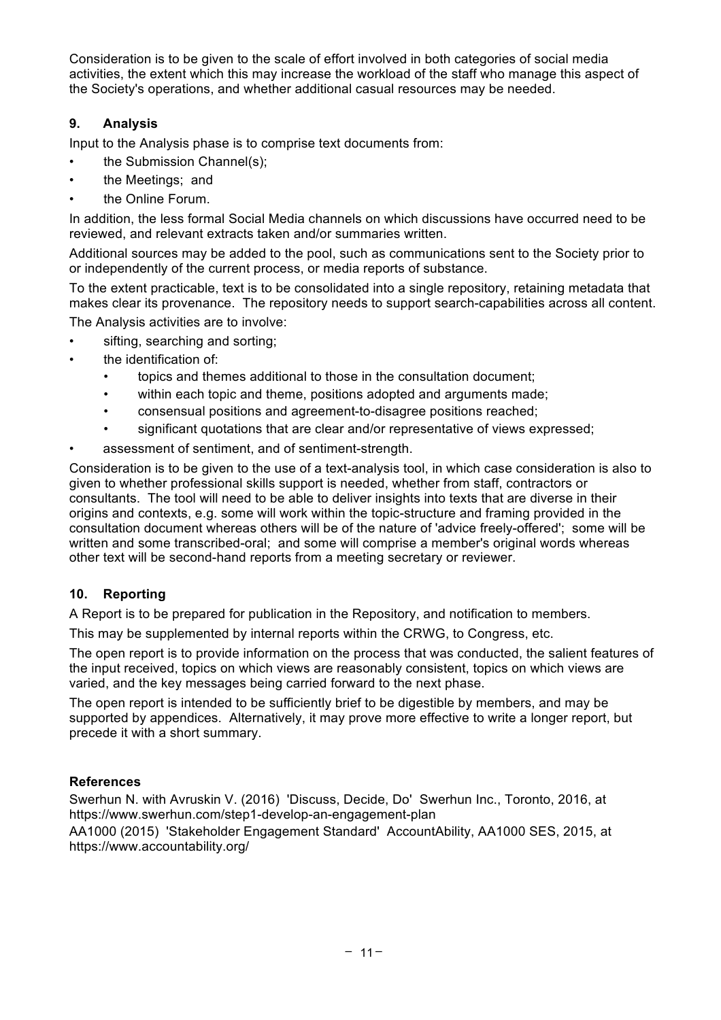Consideration is to be given to the scale of effort involved in both categories of social media activities, the extent which this may increase the workload of the staff who manage this aspect of the Society's operations, and whether additional casual resources may be needed.

## **9. Analysis**

Input to the Analysis phase is to comprise text documents from:

- the Submission Channel(s):
- the Meetings; and
- the Online Forum.

In addition, the less formal Social Media channels on which discussions have occurred need to be reviewed, and relevant extracts taken and/or summaries written.

Additional sources may be added to the pool, such as communications sent to the Society prior to or independently of the current process, or media reports of substance.

To the extent practicable, text is to be consolidated into a single repository, retaining metadata that makes clear its provenance. The repository needs to support search-capabilities across all content. The Analysis activities are to involve:

- sifting, searching and sorting;
- the identification of:
	- topics and themes additional to those in the consultation document;
	- within each topic and theme, positions adopted and arguments made;
	- consensual positions and agreement-to-disagree positions reached;
	- significant quotations that are clear and/or representative of views expressed;
- assessment of sentiment, and of sentiment-strength.

Consideration is to be given to the use of a text-analysis tool, in which case consideration is also to given to whether professional skills support is needed, whether from staff, contractors or consultants. The tool will need to be able to deliver insights into texts that are diverse in their origins and contexts, e.g. some will work within the topic-structure and framing provided in the consultation document whereas others will be of the nature of 'advice freely-offered'; some will be written and some transcribed-oral; and some will comprise a member's original words whereas other text will be second-hand reports from a meeting secretary or reviewer.

## **10. Reporting**

A Report is to be prepared for publication in the Repository, and notification to members.

This may be supplemented by internal reports within the CRWG, to Congress, etc.

The open report is to provide information on the process that was conducted, the salient features of the input received, topics on which views are reasonably consistent, topics on which views are varied, and the key messages being carried forward to the next phase.

The open report is intended to be sufficiently brief to be digestible by members, and may be supported by appendices. Alternatively, it may prove more effective to write a longer report, but precede it with a short summary.

#### **References**

Swerhun N. with Avruskin V. (2016) 'Discuss, Decide, Do' Swerhun Inc., Toronto, 2016, at https://www.swerhun.com/step1-develop-an-engagement-plan

AA1000 (2015) 'Stakeholder Engagement Standard' AccountAbility, AA1000 SES, 2015, at https://www.accountability.org/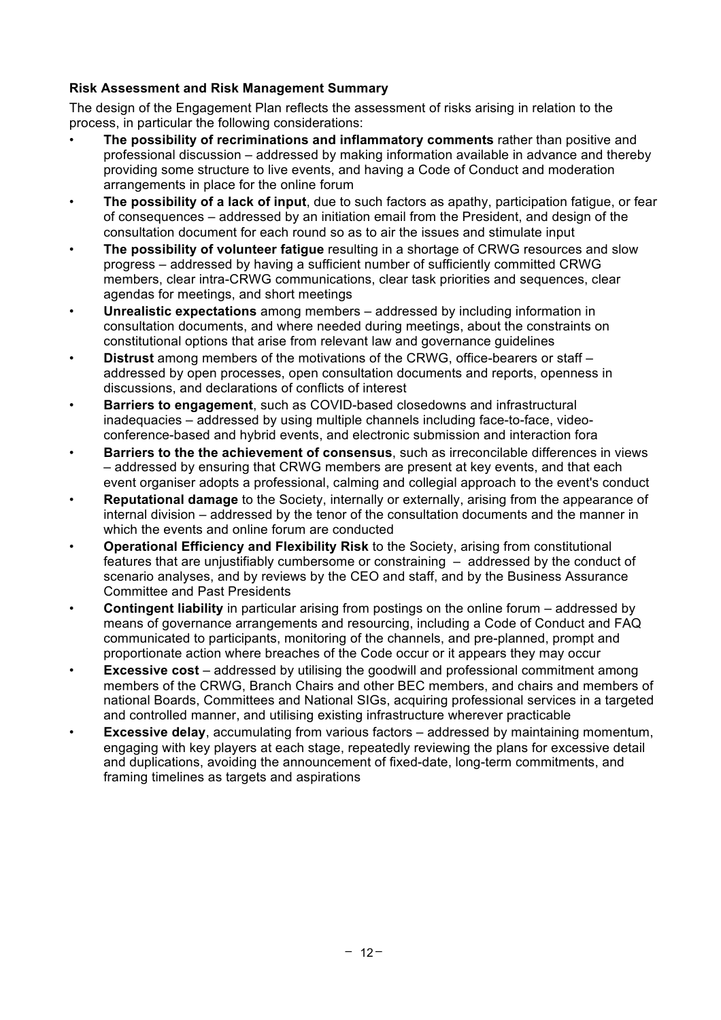## **Risk Assessment and Risk Management Summary**

The design of the Engagement Plan reflects the assessment of risks arising in relation to the process, in particular the following considerations:

- **The possibility of recriminations and inflammatory comments** rather than positive and professional discussion – addressed by making information available in advance and thereby providing some structure to live events, and having a Code of Conduct and moderation arrangements in place for the online forum
- **The possibility of a lack of input**, due to such factors as apathy, participation fatigue, or fear of consequences – addressed by an initiation email from the President, and design of the consultation document for each round so as to air the issues and stimulate input
- **The possibility of volunteer fatigue** resulting in a shortage of CRWG resources and slow progress – addressed by having a sufficient number of sufficiently committed CRWG members, clear intra-CRWG communications, clear task priorities and sequences, clear agendas for meetings, and short meetings
- **Unrealistic expectations** among members addressed by including information in consultation documents, and where needed during meetings, about the constraints on constitutional options that arise from relevant law and governance guidelines
- **Distrust** among members of the motivations of the CRWG, office-bearers or staff addressed by open processes, open consultation documents and reports, openness in discussions, and declarations of conflicts of interest
- **Barriers to engagement**, such as COVID-based closedowns and infrastructural inadequacies – addressed by using multiple channels including face-to-face, videoconference-based and hybrid events, and electronic submission and interaction fora
- **Barriers to the the achievement of consensus**, such as irreconcilable differences in views – addressed by ensuring that CRWG members are present at key events, and that each event organiser adopts a professional, calming and collegial approach to the event's conduct
- **Reputational damage** to the Society, internally or externally, arising from the appearance of internal division – addressed by the tenor of the consultation documents and the manner in which the events and online forum are conducted
- **Operational Efficiency and Flexibility Risk** to the Society, arising from constitutional features that are unjustifiably cumbersome or constraining – addressed by the conduct of scenario analyses, and by reviews by the CEO and staff, and by the Business Assurance Committee and Past Presidents
- **Contingent liability** in particular arising from postings on the online forum addressed by means of governance arrangements and resourcing, including a Code of Conduct and FAQ communicated to participants, monitoring of the channels, and pre-planned, prompt and proportionate action where breaches of the Code occur or it appears they may occur
- **Excessive cost** addressed by utilising the goodwill and professional commitment among members of the CRWG, Branch Chairs and other BEC members, and chairs and members of national Boards, Committees and National SIGs, acquiring professional services in a targeted and controlled manner, and utilising existing infrastructure wherever practicable
- **Excessive delay**, accumulating from various factors addressed by maintaining momentum, engaging with key players at each stage, repeatedly reviewing the plans for excessive detail and duplications, avoiding the announcement of fixed-date, long-term commitments, and framing timelines as targets and aspirations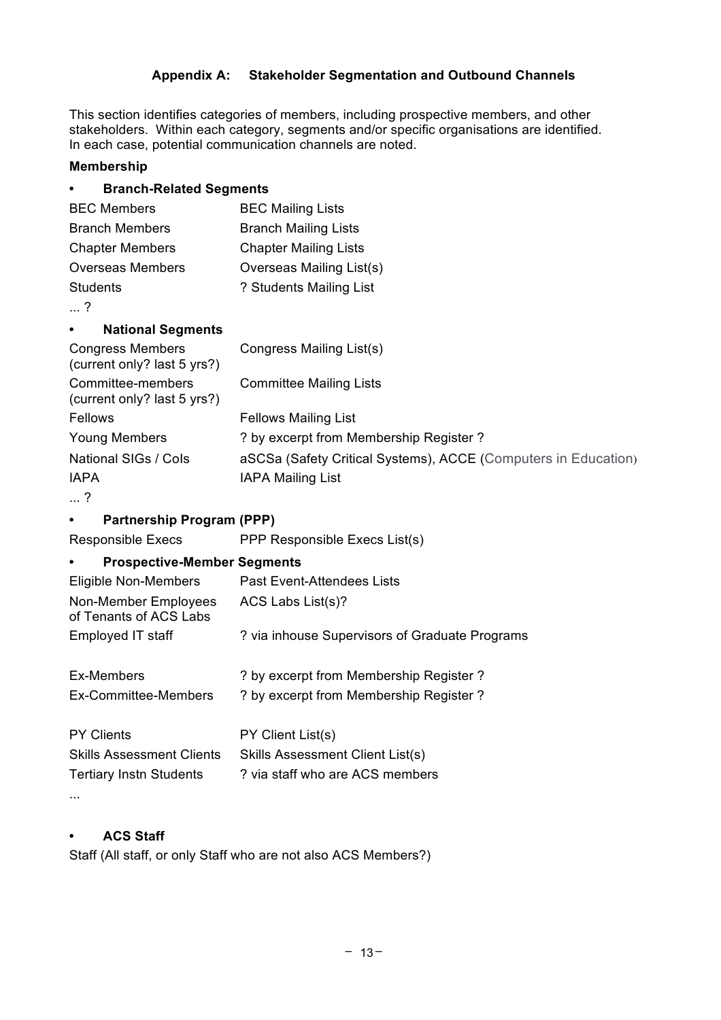## **Appendix A: Stakeholder Segmentation and Outbound Channels**

This section identifies categories of members, including prospective members, and other stakeholders. Within each category, segments and/or specific organisations are identified. In each case, potential communication channels are noted.

#### **Membership**

| <b>Branch-Related Segments</b>                         |                                                                |
|--------------------------------------------------------|----------------------------------------------------------------|
| <b>BEC Members</b>                                     | <b>BEC Mailing Lists</b>                                       |
| <b>Branch Members</b>                                  | <b>Branch Mailing Lists</b>                                    |
| <b>Chapter Members</b>                                 | <b>Chapter Mailing Lists</b>                                   |
| <b>Overseas Members</b>                                | Overseas Mailing List(s)                                       |
| <b>Students</b>                                        | ? Students Mailing List                                        |
| $\ldots$ ?                                             |                                                                |
| <b>National Segments</b>                               |                                                                |
| <b>Congress Members</b><br>(current only? last 5 yrs?) | Congress Mailing List(s)                                       |
| Committee-members<br>(current only? last 5 yrs?)       | <b>Committee Mailing Lists</b>                                 |
| Fellows                                                | <b>Fellows Mailing List</b>                                    |
| <b>Young Members</b>                                   | ? by excerpt from Membership Register ?                        |
| National SIGs / Cols                                   | aSCSa (Safety Critical Systems), ACCE (Computers in Education) |
| <b>IAPA</b>                                            | <b>IAPA Mailing List</b>                                       |
| $\ldots$ ?                                             |                                                                |
| <b>Partnership Program (PPP)</b>                       |                                                                |
| <b>Responsible Execs</b>                               | PPP Responsible Execs List(s)                                  |
| <b>Prospective-Member Segments</b>                     |                                                                |
| <b>Eligible Non-Members</b>                            | <b>Past Event-Attendees Lists</b>                              |
| Non-Member Employees<br>of Tenants of ACS Labs         | ACS Labs List(s)?                                              |
| Employed IT staff                                      | ? via inhouse Supervisors of Graduate Programs                 |
| Ex-Members                                             | ? by excerpt from Membership Register ?                        |
| Ex-Committee-Members                                   | ? by excerpt from Membership Register ?                        |
| <b>PY Clients</b>                                      | PY Client List(s)                                              |
| <b>Skills Assessment Clients</b>                       | Skills Assessment Client List(s)                               |
| <b>Tertiary Instn Students</b>                         | ? via staff who are ACS members                                |
|                                                        |                                                                |

## **• ACS Staff**

Staff (All staff, or only Staff who are not also ACS Members?)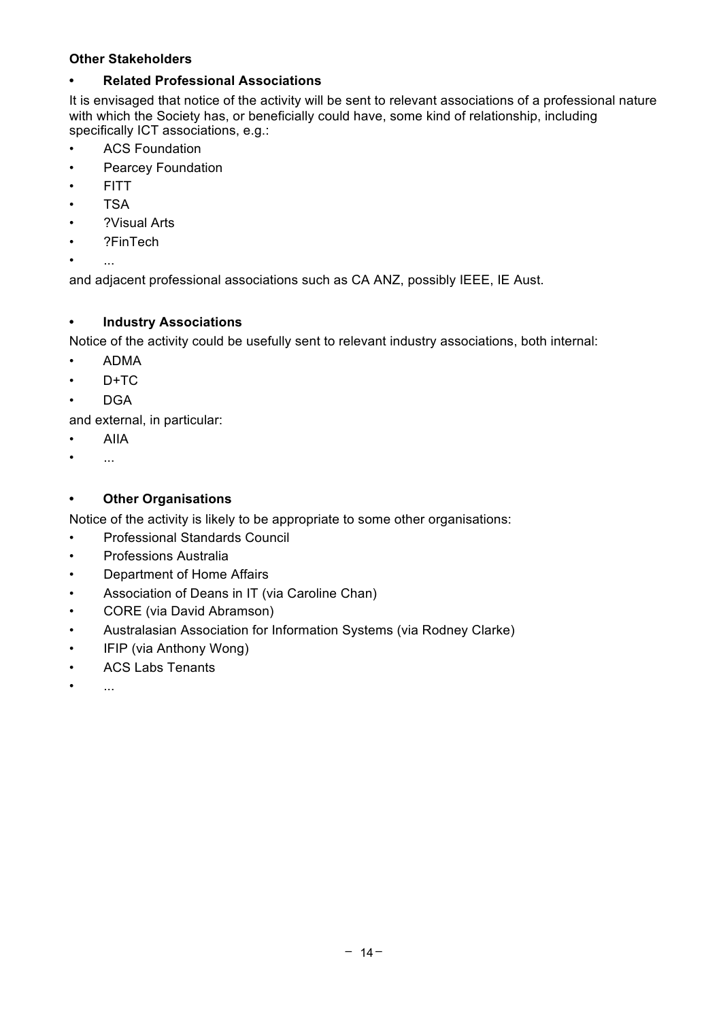#### **Other Stakeholders**

#### **• Related Professional Associations**

It is envisaged that notice of the activity will be sent to relevant associations of a professional nature with which the Society has, or beneficially could have, some kind of relationship, including specifically ICT associations, e.g.:

- ACS Foundation
- Pearcey Foundation
- FITT
- TSA
- ?Visual Arts
- ?FinTech
- ...

and adjacent professional associations such as CA ANZ, possibly IEEE, IE Aust.

#### **• Industry Associations**

Notice of the activity could be usefully sent to relevant industry associations, both internal:

- ADMA
- $\cdot$  D+TC
- DGA

and external, in particular:

- AIIA
- $\bullet$  ...

#### **• Other Organisations**

Notice of the activity is likely to be appropriate to some other organisations:

- Professional Standards Council
- Professions Australia
- Department of Home Affairs
- Association of Deans in IT (via Caroline Chan)
- CORE (via David Abramson)
- Australasian Association for Information Systems (via Rodney Clarke)
- IFIP (via Anthony Wong)
- ACS Labs Tenants
- ...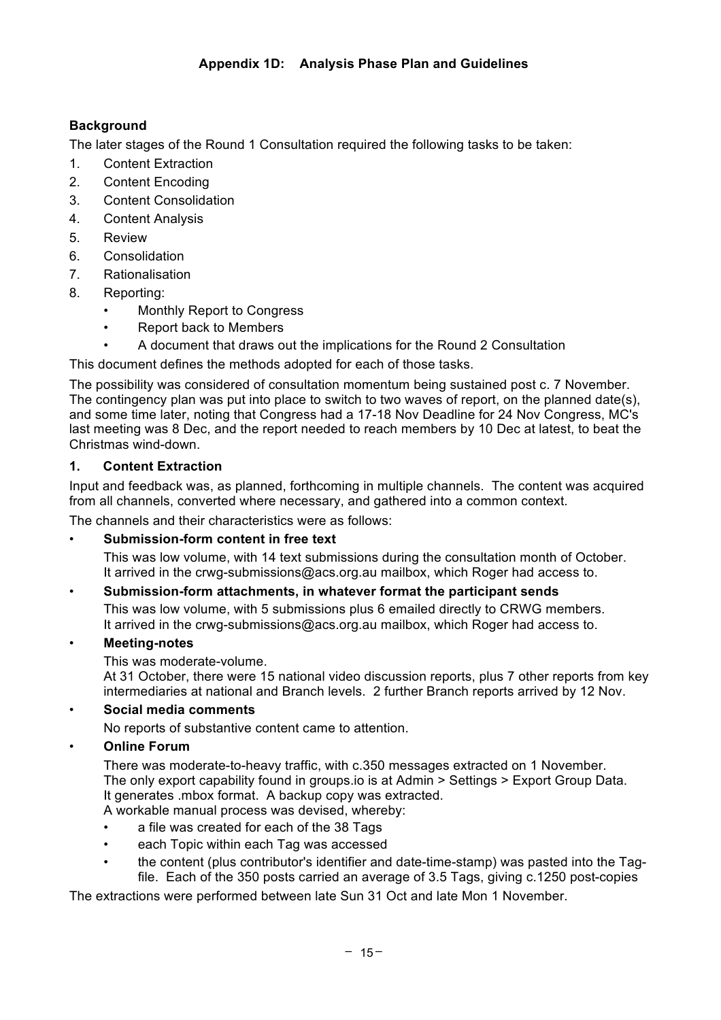## **Background**

The later stages of the Round 1 Consultation required the following tasks to be taken:

- 1. Content Extraction
- 2. Content Encoding
- 3. Content Consolidation
- 4. Content Analysis
- 5. Review
- 6. Consolidation
- 7. Rationalisation
- 8. Reporting:
	- Monthly Report to Congress
	- Report back to Members
		- A document that draws out the implications for the Round 2 Consultation

This document defines the methods adopted for each of those tasks.

The possibility was considered of consultation momentum being sustained post c. 7 November. The contingency plan was put into place to switch to two waves of report, on the planned date(s), and some time later, noting that Congress had a 17-18 Nov Deadline for 24 Nov Congress, MC's last meeting was 8 Dec, and the report needed to reach members by 10 Dec at latest, to beat the Christmas wind-down.

## **1. Content Extraction**

Input and feedback was, as planned, forthcoming in multiple channels. The content was acquired from all channels, converted where necessary, and gathered into a common context.

The channels and their characteristics were as follows:

## • **Submission-form content in free text**

This was low volume, with 14 text submissions during the consultation month of October. It arrived in the crwg-submissions@acs.org.au mailbox, which Roger had access to.

## • **Submission-form attachments, in whatever format the participant sends**

This was low volume, with 5 submissions plus 6 emailed directly to CRWG members. It arrived in the crwg-submissions@acs.org.au mailbox, which Roger had access to.

## • **Meeting-notes**

This was moderate-volume.

At 31 October, there were 15 national video discussion reports, plus 7 other reports from key intermediaries at national and Branch levels. 2 further Branch reports arrived by 12 Nov.

## • **Social media comments**

No reports of substantive content came to attention.

## • **Online Forum**

There was moderate-to-heavy traffic, with c.350 messages extracted on 1 November. The only export capability found in groups.io is at Admin > Settings > Export Group Data. It generates .mbox format. A backup copy was extracted.

A workable manual process was devised, whereby:

- a file was created for each of the 38 Tags
- each Topic within each Tag was accessed
- the content (plus contributor's identifier and date-time-stamp) was pasted into the Tagfile. Each of the 350 posts carried an average of 3.5 Tags, giving c.1250 post-copies

The extractions were performed between late Sun 31 Oct and late Mon 1 November.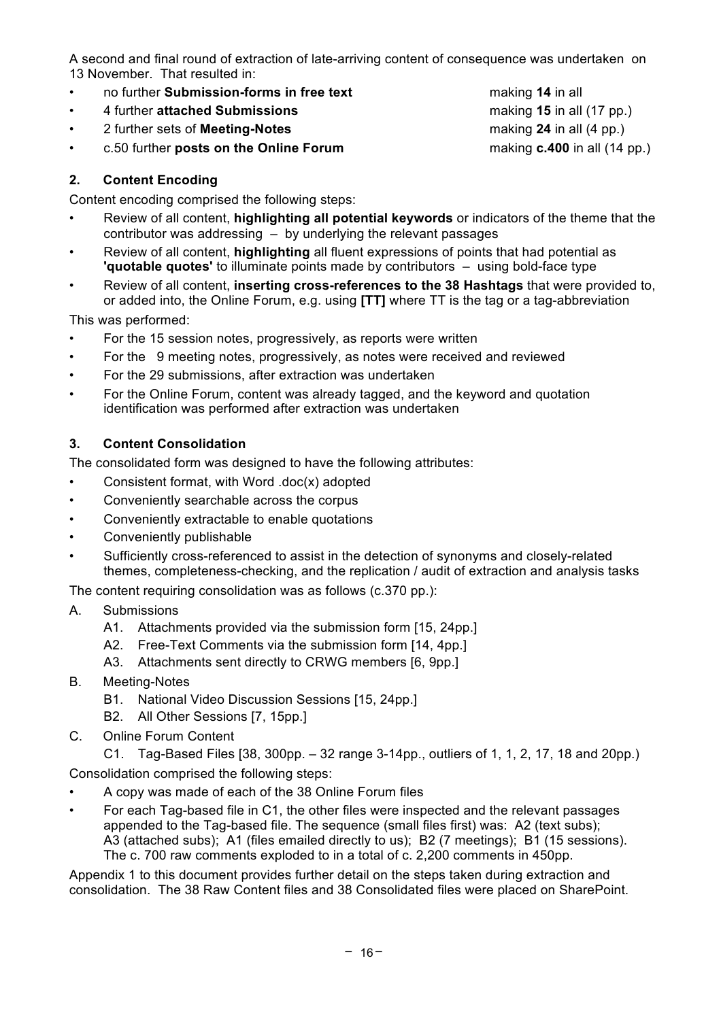A second and final round of extraction of late-arriving content of consequence was undertaken on 13 November. That resulted in:

- no further **Submission-forms in free text** making **14** in all
- 4 further **attached Submissions** making **15** in all (17 pp.)
- 2 further sets of **Meeting-Notes** making **24** in all (4 pp.)
- c.50 further **posts on the Online Forum** making **c.400** in all (14 pp.)

#### **2. Content Encoding**

Content encoding comprised the following steps:

- Review of all content, **highlighting all potential keywords** or indicators of the theme that the contributor was addressing – by underlying the relevant passages
- Review of all content, **highlighting** all fluent expressions of points that had potential as **'quotable quotes'** to illuminate points made by contributors – using bold-face type
- Review of all content, **inserting cross-references to the 38 Hashtags** that were provided to, or added into, the Online Forum, e.g. using **[TT]** where TT is the tag or a tag-abbreviation

This was performed:

- For the 15 session notes, progressively, as reports were written
- For the 9 meeting notes, progressively, as notes were received and reviewed
- For the 29 submissions, after extraction was undertaken
- For the Online Forum, content was already tagged, and the keyword and quotation identification was performed after extraction was undertaken

#### **3. Content Consolidation**

The consolidated form was designed to have the following attributes:

- Consistent format, with Word .doc(x) adopted
- Conveniently searchable across the corpus
- Conveniently extractable to enable quotations
- Conveniently publishable
- Sufficiently cross-referenced to assist in the detection of synonyms and closely-related themes, completeness-checking, and the replication / audit of extraction and analysis tasks

The content requiring consolidation was as follows (c.370 pp.):

- A. Submissions
	- A1. Attachments provided via the submission form [15, 24pp.]
	- A2. Free-Text Comments via the submission form [14, 4pp.]
	- A3. Attachments sent directly to CRWG members [6, 9pp.]
- B. Meeting-Notes
	- B1. National Video Discussion Sessions [15, 24pp.]
	- B2. All Other Sessions [7, 15pp.]
- C. Online Forum Content

C1. Tag-Based Files [38, 300pp. – 32 range 3-14pp., outliers of 1, 1, 2, 17, 18 and 20pp.) Consolidation comprised the following steps:

- A copy was made of each of the 38 Online Forum files
- For each Tag-based file in C1, the other files were inspected and the relevant passages appended to the Tag-based file. The sequence (small files first) was: A2 (text subs); A3 (attached subs); A1 (files emailed directly to us); B2 (7 meetings); B1 (15 sessions). The c. 700 raw comments exploded to in a total of c. 2,200 comments in 450pp.

Appendix 1 to this document provides further detail on the steps taken during extraction and consolidation. The 38 Raw Content files and 38 Consolidated files were placed on SharePoint.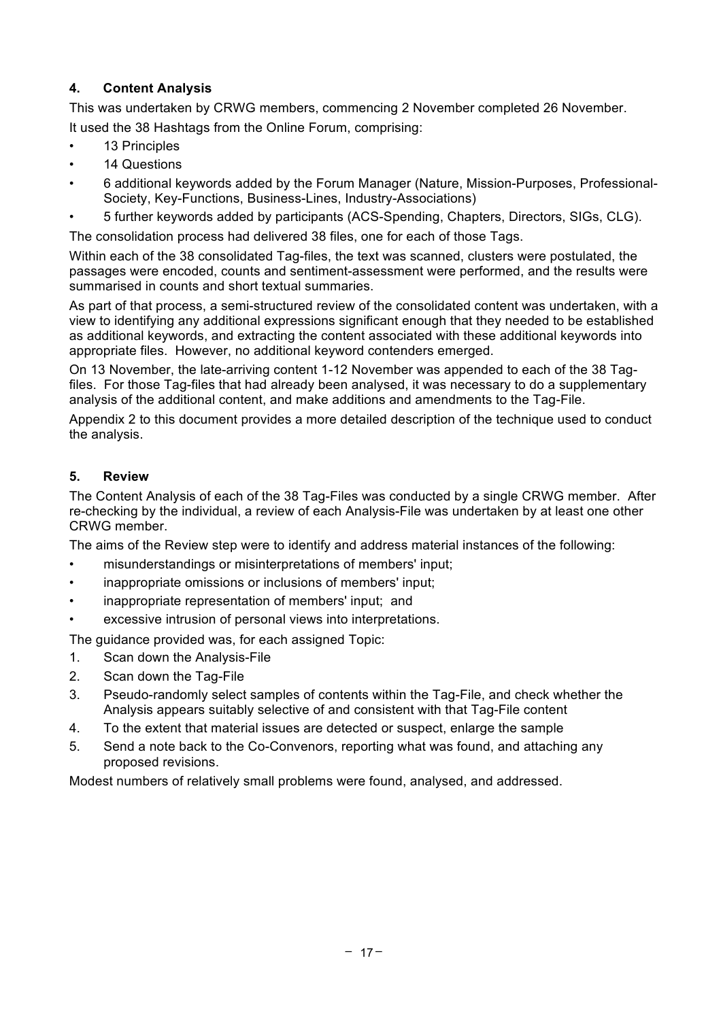## **4. Content Analysis**

This was undertaken by CRWG members, commencing 2 November completed 26 November.

It used the 38 Hashtags from the Online Forum, comprising:

- 13 Principles
- 14 Questions
- 6 additional keywords added by the Forum Manager (Nature, Mission-Purposes, Professional-Society, Key-Functions, Business-Lines, Industry-Associations)
- 5 further keywords added by participants (ACS-Spending, Chapters, Directors, SIGs, CLG).

The consolidation process had delivered 38 files, one for each of those Tags.

Within each of the 38 consolidated Tag-files, the text was scanned, clusters were postulated, the passages were encoded, counts and sentiment-assessment were performed, and the results were summarised in counts and short textual summaries.

As part of that process, a semi-structured review of the consolidated content was undertaken, with a view to identifying any additional expressions significant enough that they needed to be established as additional keywords, and extracting the content associated with these additional keywords into appropriate files. However, no additional keyword contenders emerged.

On 13 November, the late-arriving content 1-12 November was appended to each of the 38 Tagfiles. For those Tag-files that had already been analysed, it was necessary to do a supplementary analysis of the additional content, and make additions and amendments to the Tag-File.

Appendix 2 to this document provides a more detailed description of the technique used to conduct the analysis.

## **5. Review**

The Content Analysis of each of the 38 Tag-Files was conducted by a single CRWG member. After re-checking by the individual, a review of each Analysis-File was undertaken by at least one other CRWG member.

The aims of the Review step were to identify and address material instances of the following:

- misunderstandings or misinterpretations of members' input;
- inappropriate omissions or inclusions of members' input;
- inappropriate representation of members' input; and
- excessive intrusion of personal views into interpretations.

The guidance provided was, for each assigned Topic:

- 1. Scan down the Analysis-File
- 2. Scan down the Tag-File
- 3. Pseudo-randomly select samples of contents within the Tag-File, and check whether the Analysis appears suitably selective of and consistent with that Tag-File content
- 4. To the extent that material issues are detected or suspect, enlarge the sample
- 5. Send a note back to the Co-Convenors, reporting what was found, and attaching any proposed revisions.

Modest numbers of relatively small problems were found, analysed, and addressed.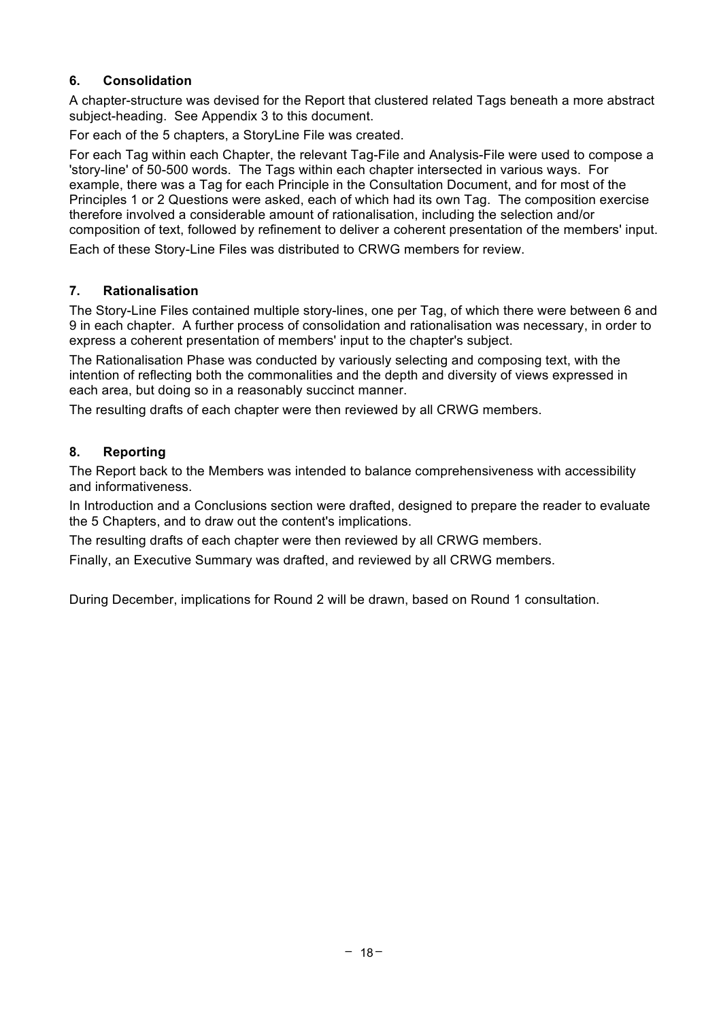## **6. Consolidation**

A chapter-structure was devised for the Report that clustered related Tags beneath a more abstract subject-heading. See Appendix 3 to this document.

For each of the 5 chapters, a StoryLine File was created.

For each Tag within each Chapter, the relevant Tag-File and Analysis-File were used to compose a 'story-line' of 50-500 words. The Tags within each chapter intersected in various ways. For example, there was a Tag for each Principle in the Consultation Document, and for most of the Principles 1 or 2 Questions were asked, each of which had its own Tag. The composition exercise therefore involved a considerable amount of rationalisation, including the selection and/or composition of text, followed by refinement to deliver a coherent presentation of the members' input.

Each of these Story-Line Files was distributed to CRWG members for review.

## **7. Rationalisation**

The Story-Line Files contained multiple story-lines, one per Tag, of which there were between 6 and 9 in each chapter. A further process of consolidation and rationalisation was necessary, in order to express a coherent presentation of members' input to the chapter's subject.

The Rationalisation Phase was conducted by variously selecting and composing text, with the intention of reflecting both the commonalities and the depth and diversity of views expressed in each area, but doing so in a reasonably succinct manner.

The resulting drafts of each chapter were then reviewed by all CRWG members.

## **8. Reporting**

The Report back to the Members was intended to balance comprehensiveness with accessibility and informativeness.

In Introduction and a Conclusions section were drafted, designed to prepare the reader to evaluate the 5 Chapters, and to draw out the content's implications.

The resulting drafts of each chapter were then reviewed by all CRWG members.

Finally, an Executive Summary was drafted, and reviewed by all CRWG members.

During December, implications for Round 2 will be drawn, based on Round 1 consultation.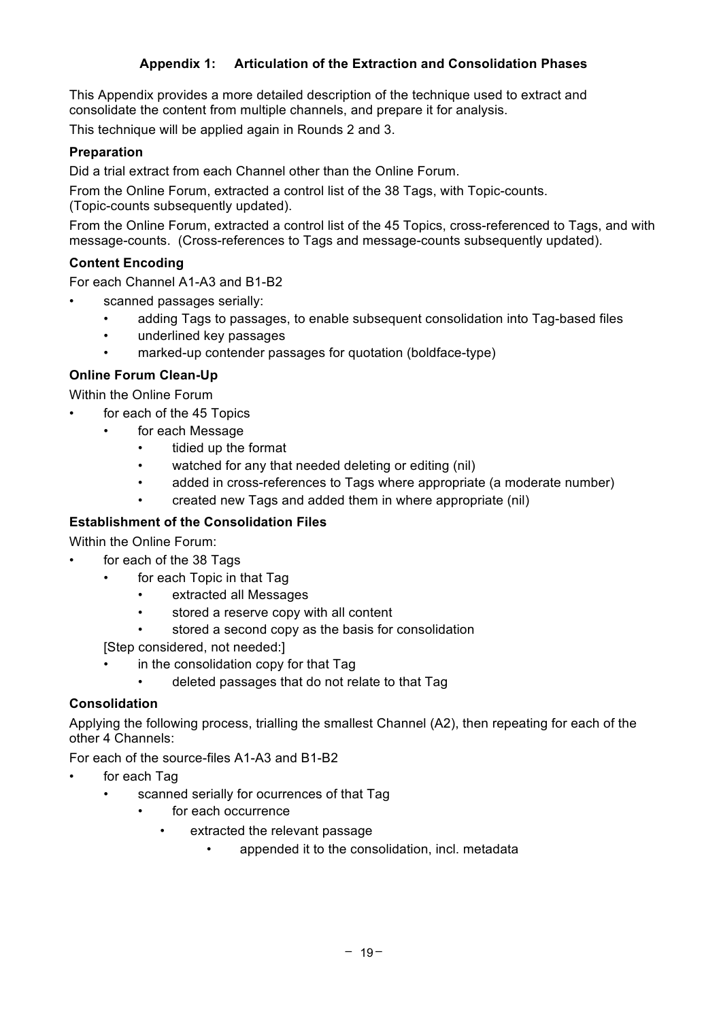#### **Appendix 1: Articulation of the Extraction and Consolidation Phases**

This Appendix provides a more detailed description of the technique used to extract and consolidate the content from multiple channels, and prepare it for analysis.

This technique will be applied again in Rounds 2 and 3.

#### **Preparation**

Did a trial extract from each Channel other than the Online Forum.

From the Online Forum, extracted a control list of the 38 Tags, with Topic-counts. (Topic-counts subsequently updated).

From the Online Forum, extracted a control list of the 45 Topics, cross-referenced to Tags, and with message-counts. (Cross-references to Tags and message-counts subsequently updated).

#### **Content Encoding**

For each Channel A1-A3 and B1-B2

- scanned passages serially:
	- adding Tags to passages, to enable subsequent consolidation into Tag-based files
	- underlined key passages
	- marked-up contender passages for quotation (boldface-type)

#### **Online Forum Clean-Up**

Within the Online Forum

- for each of the 45 Topics
	- for each Message
		- tidied up the format
		- watched for any that needed deleting or editing (nil)
		- added in cross-references to Tags where appropriate (a moderate number)
		- created new Tags and added them in where appropriate (nil)

## **Establishment of the Consolidation Files**

Within the Online Forum:

- for each of the 38 Tags
	- for each Topic in that Tag
		- extracted all Messages
		- stored a reserve copy with all content
		- stored a second copy as the basis for consolidation

[Step considered, not needed:]

- in the consolidation copy for that Tag
	- deleted passages that do not relate to that Tag

#### **Consolidation**

Applying the following process, trialling the smallest Channel (A2), then repeating for each of the other 4 Channels:

For each of the source-files A1-A3 and B1-B2

- for each Tag
	- scanned serially for ocurrences of that Tag
		- for each occurrence
			- extracted the relevant passage
				- appended it to the consolidation, incl. metadata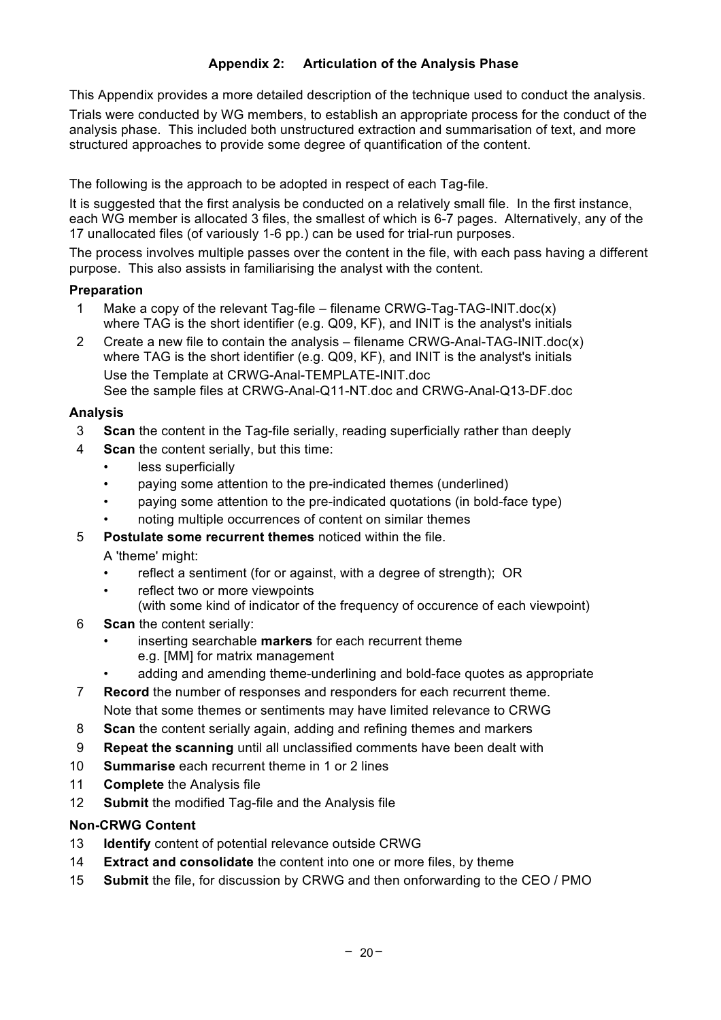This Appendix provides a more detailed description of the technique used to conduct the analysis.

Trials were conducted by WG members, to establish an appropriate process for the conduct of the analysis phase. This included both unstructured extraction and summarisation of text, and more structured approaches to provide some degree of quantification of the content.

The following is the approach to be adopted in respect of each Tag-file.

It is suggested that the first analysis be conducted on a relatively small file. In the first instance, each WG member is allocated 3 files, the smallest of which is 6-7 pages. Alternatively, any of the 17 unallocated files (of variously 1-6 pp.) can be used for trial-run purposes.

The process involves multiple passes over the content in the file, with each pass having a different purpose. This also assists in familiarising the analyst with the content.

#### **Preparation**

- 1 Make a copy of the relevant Tag-file filename CRWG-Tag-TAG-INIT.doc(x) where TAG is the short identifier (e.g. Q09, KF), and INIT is the analyst's initials
- 2 Create a new file to contain the analysis filename CRWG-Anal-TAG-INIT.doc(x) where TAG is the short identifier (e.g. Q09, KF), and INIT is the analyst's initials Use the Template at CRWG-Anal-TEMPLATE-INIT.doc See the sample files at CRWG-Anal-Q11-NT.doc and CRWG-Anal-Q13-DF.doc

#### **Analysis**

- 3 **Scan** the content in the Tag-file serially, reading superficially rather than deeply
- 4 **Scan** the content serially, but this time:
	- less superficially
	- paying some attention to the pre-indicated themes (underlined)
	- paying some attention to the pre-indicated quotations (in bold-face type)
	- noting multiple occurrences of content on similar themes
- 5 **Postulate some recurrent themes** noticed within the file.

A 'theme' might:

- reflect a sentiment (for or against, with a degree of strength); OR
- reflect two or more viewpoints (with some kind of indicator of the frequency of occurence of each viewpoint)
- 6 **Scan** the content serially:
	- inserting searchable **markers** for each recurrent theme e.g. [MM] for matrix management
	- adding and amending theme-underlining and bold-face quotes as appropriate
- 7 **Record** the number of responses and responders for each recurrent theme. Note that some themes or sentiments may have limited relevance to CRWG
- 8 **Scan** the content serially again, adding and refining themes and markers
- 9 **Repeat the scanning** until all unclassified comments have been dealt with
- 10 **Summarise** each recurrent theme in 1 or 2 lines
- 11 **Complete** the Analysis file
- 12 **Submit** the modified Tag-file and the Analysis file

## **Non-CRWG Content**

- 13 **Identify** content of potential relevance outside CRWG
- 14 **Extract and consolidate** the content into one or more files, by theme
- 15 **Submit** the file, for discussion by CRWG and then onforwarding to the CEO / PMO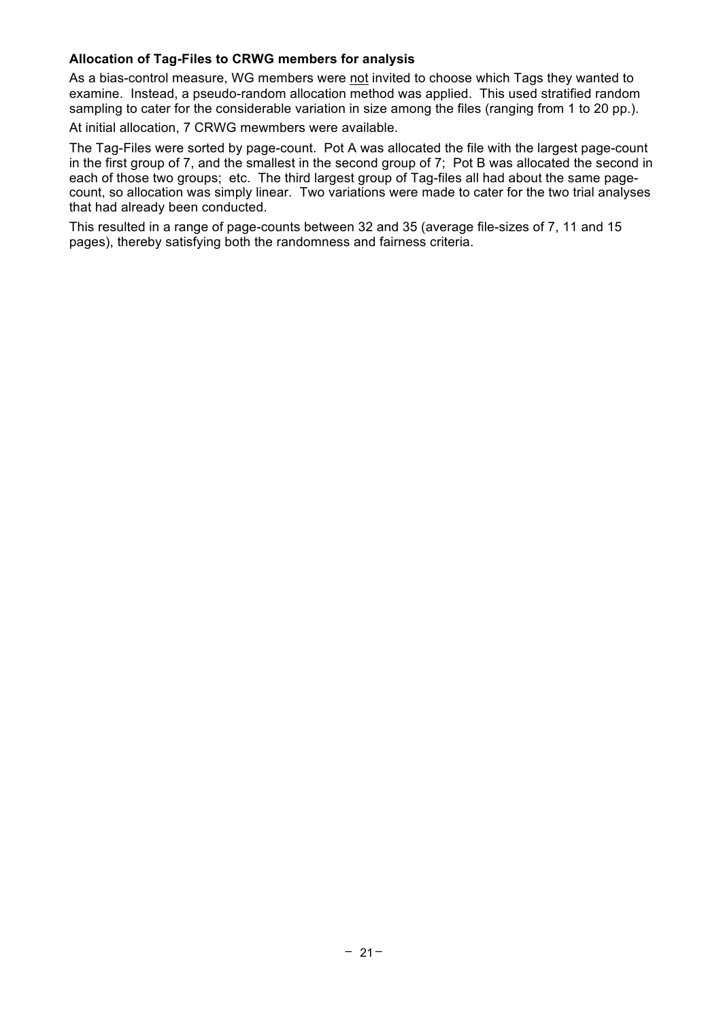#### **Allocation of Tag-Files to CRWG members for analysis**

As a bias-control measure, WG members were not invited to choose which Tags they wanted to examine. Instead, a pseudo-random allocation method was applied. This used stratified random sampling to cater for the considerable variation in size among the files (ranging from 1 to 20 pp.).

At initial allocation, 7 CRWG mewmbers were available.

The Tag-Files were sorted by page-count. Pot A was allocated the file with the largest page-count in the first group of 7, and the smallest in the second group of 7; Pot B was allocated the second in each of those two groups; etc. The third largest group of Tag-files all had about the same pagecount, so allocation was simply linear. Two variations were made to cater for the two trial analyses that had already been conducted.

This resulted in a range of page-counts between 32 and 35 (average file-sizes of 7, 11 and 15 pages), thereby satisfying both the randomness and fairness criteria.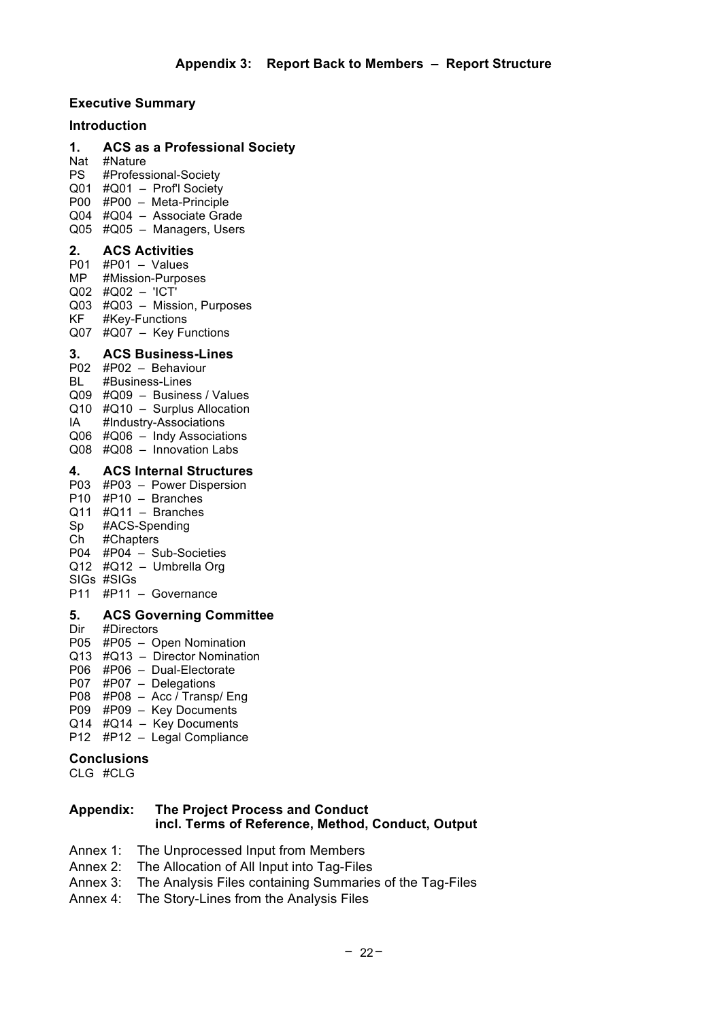# **Executive Summary**

#### **Introduction**

**1. ACS as a Professional Society**

Nat #Nature PS #Professional-Society Q01 #Q01 – Prof'l Society P00 #P00 – Meta-Principle

Q04 #Q04 – Associate Grade Q05 #Q05 – Managers, Users

#### **2. ACS Activities**

 $P01$  #P01 – Values MP #Mission-Purposes Q02 #Q02 – 'ICT' Q03 #Q03 – Mission, Purposes KF #Key-Functions Q07 #Q07 – Key Functions

#### **3. ACS Business-Lines**

- P02 #P02 Behaviour
- BL #Business-Lines
- Q09 #Q09 Business / Values
- Q10 #Q10 Surplus Allocation
- IA #Industry-Associations
- Q06 #Q06 Indy Associations Q08 #Q08 – Innovation Labs

# **4. ACS Internal Structures**

## P03 #P03 – Power Dispersion

- P10 #P10 Branches
- $Q11$  # $Q11$  Branches
- Sp #ACS-Spending
- Ch #Chapters
- P04 #P04 Sub-Societies
- Q12 #Q12 Umbrella Org
- SIGs #SIGs
- P11 #P11 Governance

#### **5. ACS Governing Committee**

- Dir #Directors
- P05 #P05 Open Nomination
- Q13 #Q13 Director Nomination
- P06 #P06 Dual-Electorate
- P07 #P07 Delegations
- P08  $#P08 Acc$  Transp/ Eng
- P09 #P09 Key Documents
- Q14 #Q14 Key Documents
- P12 #P12 Legal Compliance

#### **Conclusions**

CLG #CLG

#### **Appendix: The Project Process and Conduct incl. Terms of Reference, Method, Conduct, Output**

- Annex 1: The Unprocessed Input from Members
- Annex 2: The Allocation of All Input into Tag-Files
- Annex 3: The Analysis Files containing Summaries of the Tag-Files
- Annex 4: The Story-Lines from the Analysis Files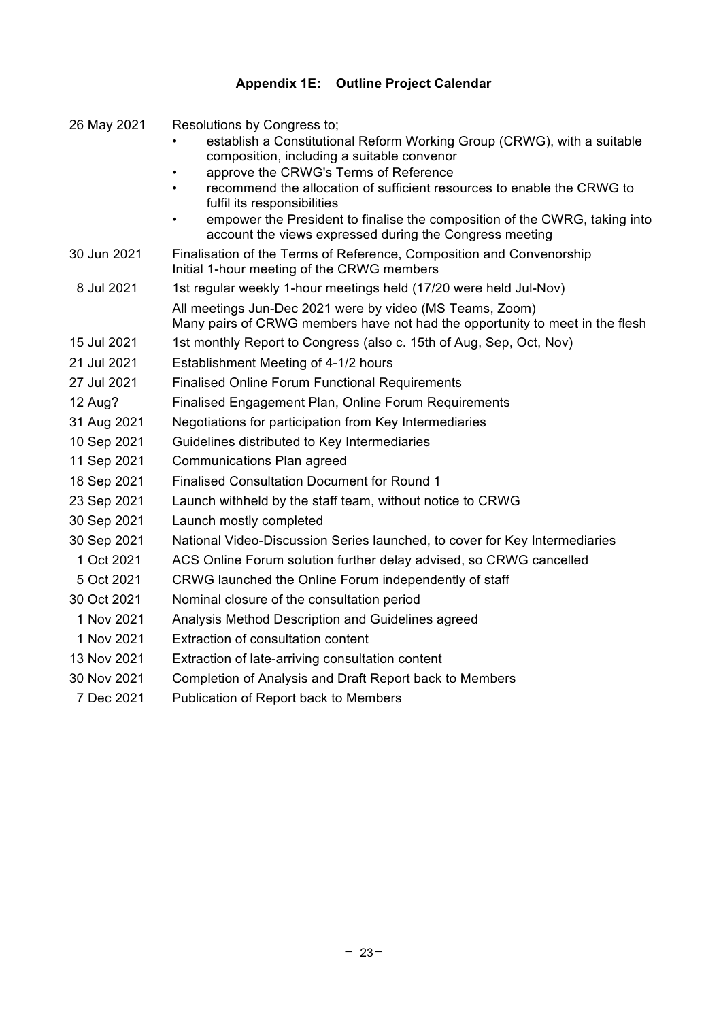# **Appendix 1E: Outline Project Calendar**

| 26 May 2021 | Resolutions by Congress to;                                                                                                                        |
|-------------|----------------------------------------------------------------------------------------------------------------------------------------------------|
|             | establish a Constitutional Reform Working Group (CRWG), with a suitable                                                                            |
|             | composition, including a suitable convenor<br>approve the CRWG's Terms of Reference<br>٠                                                           |
|             | recommend the allocation of sufficient resources to enable the CRWG to<br>fulfil its responsibilities                                              |
|             | empower the President to finalise the composition of the CWRG, taking into<br>$\bullet$<br>account the views expressed during the Congress meeting |
| 30 Jun 2021 | Finalisation of the Terms of Reference, Composition and Convenorship<br>Initial 1-hour meeting of the CRWG members                                 |
| 8 Jul 2021  | 1st regular weekly 1-hour meetings held (17/20 were held Jul-Nov)                                                                                  |
|             | All meetings Jun-Dec 2021 were by video (MS Teams, Zoom)<br>Many pairs of CRWG members have not had the opportunity to meet in the flesh           |
| 15 Jul 2021 | 1st monthly Report to Congress (also c. 15th of Aug, Sep, Oct, Nov)                                                                                |
| 21 Jul 2021 | Establishment Meeting of 4-1/2 hours                                                                                                               |
| 27 Jul 2021 | <b>Finalised Online Forum Functional Requirements</b>                                                                                              |
| 12 Aug?     | Finalised Engagement Plan, Online Forum Requirements                                                                                               |
| 31 Aug 2021 | Negotiations for participation from Key Intermediaries                                                                                             |
| 10 Sep 2021 | Guidelines distributed to Key Intermediaries                                                                                                       |
| 11 Sep 2021 | Communications Plan agreed                                                                                                                         |
| 18 Sep 2021 | <b>Finalised Consultation Document for Round 1</b>                                                                                                 |
| 23 Sep 2021 | Launch withheld by the staff team, without notice to CRWG                                                                                          |
| 30 Sep 2021 | Launch mostly completed                                                                                                                            |
| 30 Sep 2021 | National Video-Discussion Series launched, to cover for Key Intermediaries                                                                         |
| 1 Oct 2021  | ACS Online Forum solution further delay advised, so CRWG cancelled                                                                                 |
| 5 Oct 2021  | CRWG launched the Online Forum independently of staff                                                                                              |
| 30 Oct 2021 | Nominal closure of the consultation period                                                                                                         |
| 1 Nov 2021  | Analysis Method Description and Guidelines agreed                                                                                                  |
| 1 Nov 2021  | Extraction of consultation content                                                                                                                 |
| 13 Nov 2021 | Extraction of late-arriving consultation content                                                                                                   |
| 30 Nov 2021 | Completion of Analysis and Draft Report back to Members                                                                                            |
| 7 Dec 2021  | Publication of Report back to Members                                                                                                              |
|             |                                                                                                                                                    |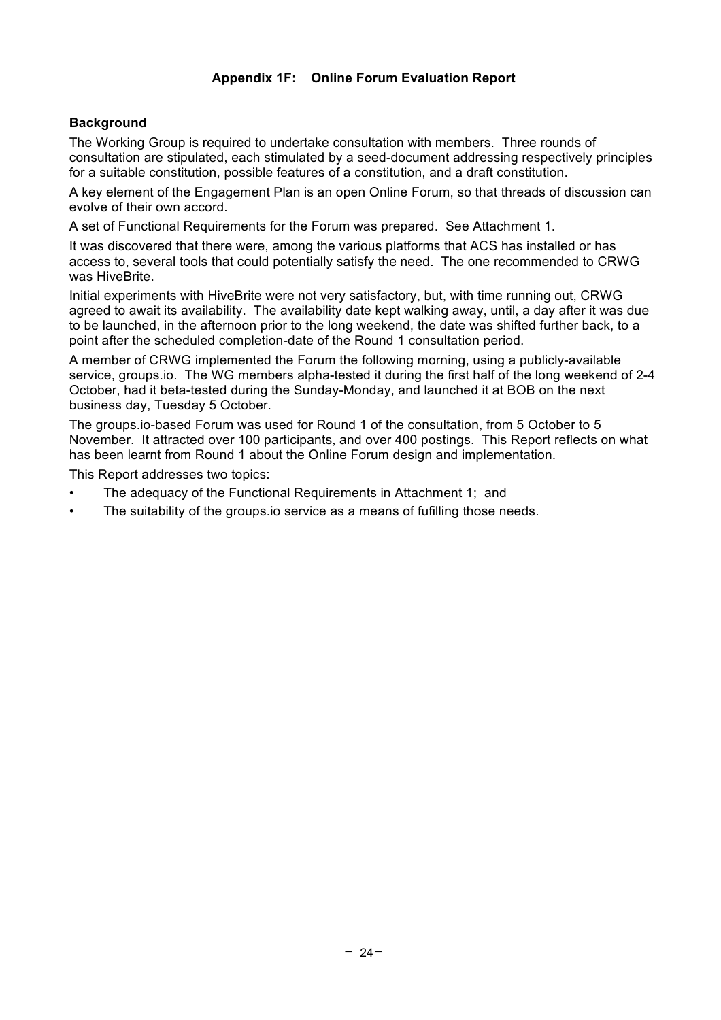## **Appendix 1F: Online Forum Evaluation Report**

#### **Background**

The Working Group is required to undertake consultation with members. Three rounds of consultation are stipulated, each stimulated by a seed-document addressing respectively principles for a suitable constitution, possible features of a constitution, and a draft constitution.

A key element of the Engagement Plan is an open Online Forum, so that threads of discussion can evolve of their own accord.

A set of Functional Requirements for the Forum was prepared. See Attachment 1.

It was discovered that there were, among the various platforms that ACS has installed or has access to, several tools that could potentially satisfy the need. The one recommended to CRWG was HiveBrite.

Initial experiments with HiveBrite were not very satisfactory, but, with time running out, CRWG agreed to await its availability. The availability date kept walking away, until, a day after it was due to be launched, in the afternoon prior to the long weekend, the date was shifted further back, to a point after the scheduled completion-date of the Round 1 consultation period.

A member of CRWG implemented the Forum the following morning, using a publicly-available service, groups.io. The WG members alpha-tested it during the first half of the long weekend of 2-4 October, had it beta-tested during the Sunday-Monday, and launched it at BOB on the next business day, Tuesday 5 October.

The groups.io-based Forum was used for Round 1 of the consultation, from 5 October to 5 November. It attracted over 100 participants, and over 400 postings. This Report reflects on what has been learnt from Round 1 about the Online Forum design and implementation.

This Report addresses two topics:

- The adequacy of the Functional Requirements in Attachment 1; and
- The suitability of the groups.io service as a means of fufilling those needs.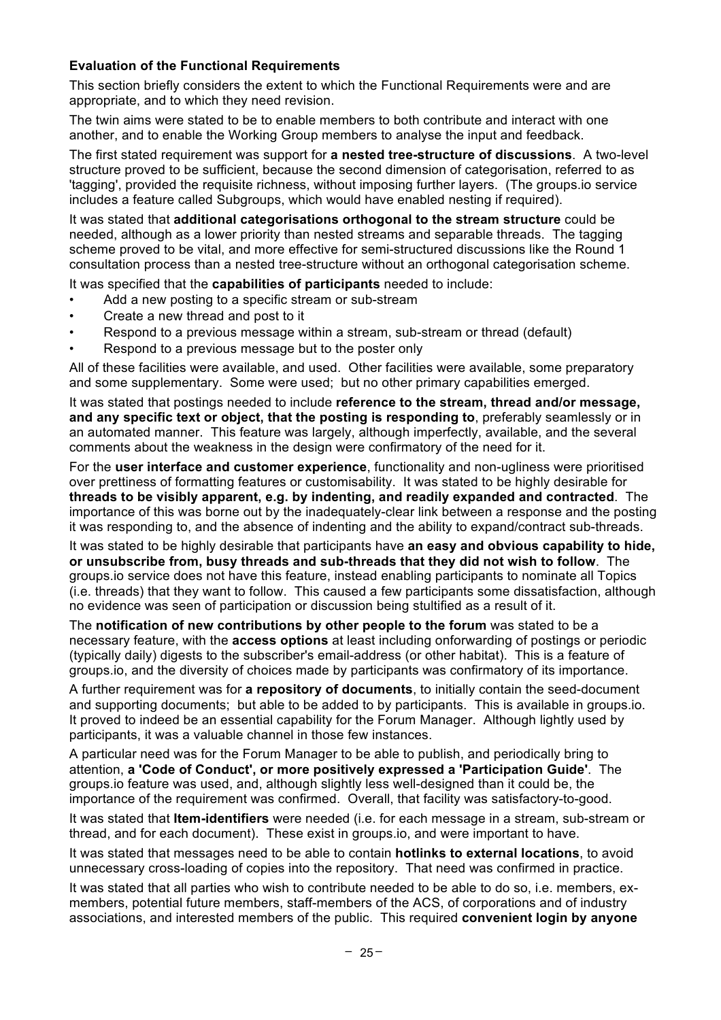#### **Evaluation of the Functional Requirements**

This section briefly considers the extent to which the Functional Requirements were and are appropriate, and to which they need revision.

The twin aims were stated to be to enable members to both contribute and interact with one another, and to enable the Working Group members to analyse the input and feedback.

The first stated requirement was support for **a nested tree-structure of discussions**. A two-level structure proved to be sufficient, because the second dimension of categorisation, referred to as 'tagging', provided the requisite richness, without imposing further layers. (The groups.io service includes a feature called Subgroups, which would have enabled nesting if required).

It was stated that **additional categorisations orthogonal to the stream structure** could be needed, although as a lower priority than nested streams and separable threads. The tagging scheme proved to be vital, and more effective for semi-structured discussions like the Round 1 consultation process than a nested tree-structure without an orthogonal categorisation scheme.

It was specified that the **capabilities of participants** needed to include:

- Add a new posting to a specific stream or sub-stream
- Create a new thread and post to it
- Respond to a previous message within a stream, sub-stream or thread (default)
- Respond to a previous message but to the poster only

All of these facilities were available, and used. Other facilities were available, some preparatory and some supplementary. Some were used; but no other primary capabilities emerged.

It was stated that postings needed to include **reference to the stream, thread and/or message, and any specific text or object, that the posting is responding to**, preferably seamlessly or in an automated manner. This feature was largely, although imperfectly, available, and the several comments about the weakness in the design were confirmatory of the need for it.

For the **user interface and customer experience**, functionality and non-ugliness were prioritised over prettiness of formatting features or customisability. It was stated to be highly desirable for **threads to be visibly apparent, e.g. by indenting, and readily expanded and contracted**. The importance of this was borne out by the inadequately-clear link between a response and the posting it was responding to, and the absence of indenting and the ability to expand/contract sub-threads.

It was stated to be highly desirable that participants have **an easy and obvious capability to hide, or unsubscribe from, busy threads and sub-threads that they did not wish to follow**. The groups.io service does not have this feature, instead enabling participants to nominate all Topics (i.e. threads) that they want to follow. This caused a few participants some dissatisfaction, although no evidence was seen of participation or discussion being stultified as a result of it.

The **notification of new contributions by other people to the forum** was stated to be a necessary feature, with the **access options** at least including onforwarding of postings or periodic (typically daily) digests to the subscriber's email-address (or other habitat). This is a feature of groups.io, and the diversity of choices made by participants was confirmatory of its importance.

A further requirement was for **a repository of documents**, to initially contain the seed-document and supporting documents; but able to be added to by participants. This is available in groups.io. It proved to indeed be an essential capability for the Forum Manager. Although lightly used by participants, it was a valuable channel in those few instances.

A particular need was for the Forum Manager to be able to publish, and periodically bring to attention, **a 'Code of Conduct', or more positively expressed a 'Participation Guide'**. The groups.io feature was used, and, although slightly less well-designed than it could be, the importance of the requirement was confirmed. Overall, that facility was satisfactory-to-good.

It was stated that **Item-identifiers** were needed (i.e. for each message in a stream, sub-stream or thread, and for each document). These exist in groups.io, and were important to have.

It was stated that messages need to be able to contain **hotlinks to external locations**, to avoid unnecessary cross-loading of copies into the repository. That need was confirmed in practice.

It was stated that all parties who wish to contribute needed to be able to do so, i.e. members, exmembers, potential future members, staff-members of the ACS, of corporations and of industry associations, and interested members of the public. This required **convenient login by anyone**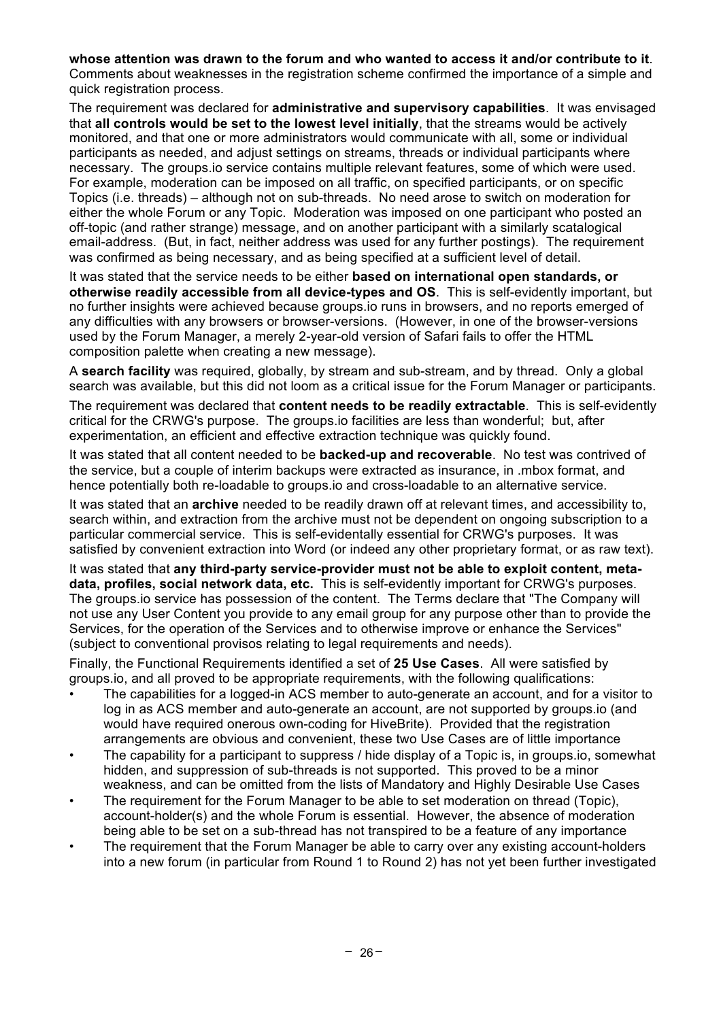**whose attention was drawn to the forum and who wanted to access it and/or contribute to it**. Comments about weaknesses in the registration scheme confirmed the importance of a simple and quick registration process.

The requirement was declared for **administrative and supervisory capabilities**. It was envisaged that **all controls would be set to the lowest level initially**, that the streams would be actively monitored, and that one or more administrators would communicate with all, some or individual participants as needed, and adjust settings on streams, threads or individual participants where necessary. The groups.io service contains multiple relevant features, some of which were used. For example, moderation can be imposed on all traffic, on specified participants, or on specific Topics (i.e. threads) – although not on sub-threads. No need arose to switch on moderation for either the whole Forum or any Topic. Moderation was imposed on one participant who posted an off-topic (and rather strange) message, and on another participant with a similarly scatalogical email-address. (But, in fact, neither address was used for any further postings). The requirement was confirmed as being necessary, and as being specified at a sufficient level of detail.

It was stated that the service needs to be either **based on international open standards, or otherwise readily accessible from all device-types and OS**. This is self-evidently important, but no further insights were achieved because groups.io runs in browsers, and no reports emerged of any difficulties with any browsers or browser-versions. (However, in one of the browser-versions used by the Forum Manager, a merely 2-year-old version of Safari fails to offer the HTML composition palette when creating a new message).

A **search facility** was required, globally, by stream and sub-stream, and by thread. Only a global search was available, but this did not loom as a critical issue for the Forum Manager or participants.

The requirement was declared that **content needs to be readily extractable**. This is self-evidently critical for the CRWG's purpose. The groups.io facilities are less than wonderful; but, after experimentation, an efficient and effective extraction technique was quickly found.

It was stated that all content needed to be **backed-up and recoverable**. No test was contrived of the service, but a couple of interim backups were extracted as insurance, in .mbox format, and hence potentially both re-loadable to groups.io and cross-loadable to an alternative service.

It was stated that an **archive** needed to be readily drawn off at relevant times, and accessibility to, search within, and extraction from the archive must not be dependent on ongoing subscription to a particular commercial service. This is self-evidentally essential for CRWG's purposes. It was satisfied by convenient extraction into Word (or indeed any other proprietary format, or as raw text).

It was stated that **any third-party service-provider must not be able to exploit content, metadata, profiles, social network data, etc.** This is self-evidently important for CRWG's purposes. The groups.io service has possession of the content. The Terms declare that "The Company will not use any User Content you provide to any email group for any purpose other than to provide the Services, for the operation of the Services and to otherwise improve or enhance the Services" (subject to conventional provisos relating to legal requirements and needs).

Finally, the Functional Requirements identified a set of **25 Use Cases**. All were satisfied by groups.io, and all proved to be appropriate requirements, with the following qualifications:

- The capabilities for a logged-in ACS member to auto-generate an account, and for a visitor to log in as ACS member and auto-generate an account, are not supported by groups.io (and would have required onerous own-coding for HiveBrite). Provided that the registration arrangements are obvious and convenient, these two Use Cases are of little importance
- The capability for a participant to suppress / hide display of a Topic is, in groups.io, somewhat hidden, and suppression of sub-threads is not supported. This proved to be a minor weakness, and can be omitted from the lists of Mandatory and Highly Desirable Use Cases
- The requirement for the Forum Manager to be able to set moderation on thread (Topic), account-holder(s) and the whole Forum is essential. However, the absence of moderation being able to be set on a sub-thread has not transpired to be a feature of any importance
- The requirement that the Forum Manager be able to carry over any existing account-holders into a new forum (in particular from Round 1 to Round 2) has not yet been further investigated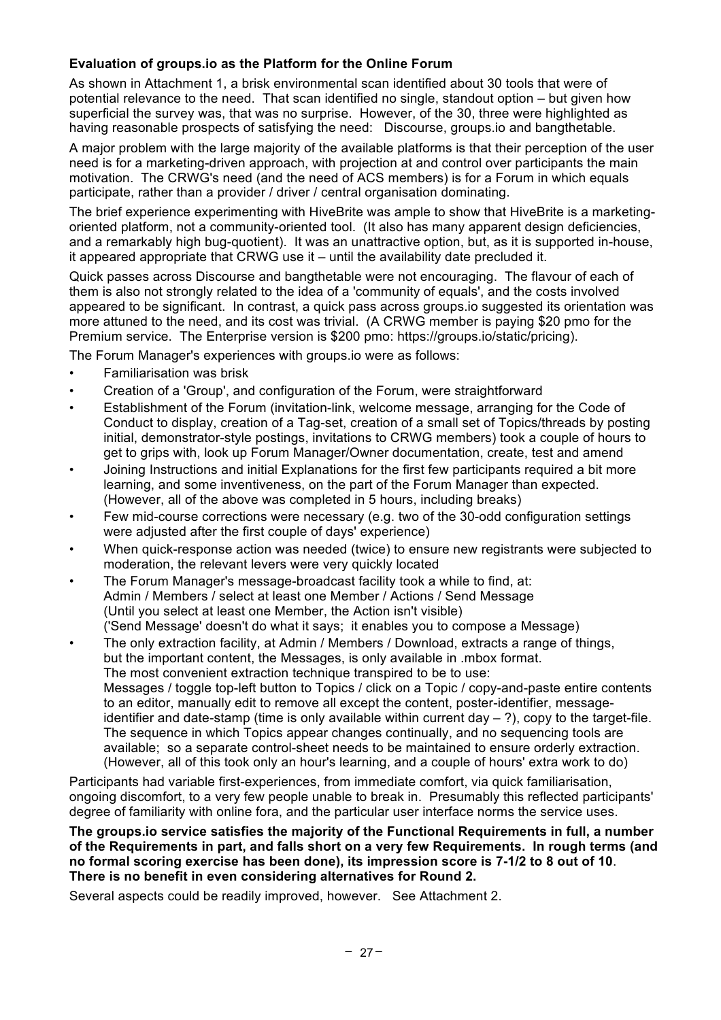#### **Evaluation of groups.io as the Platform for the Online Forum**

As shown in Attachment 1, a brisk environmental scan identified about 30 tools that were of potential relevance to the need. That scan identified no single, standout option – but given how superficial the survey was, that was no surprise. However, of the 30, three were highlighted as having reasonable prospects of satisfying the need: Discourse, groups.io and bangthetable.

A major problem with the large majority of the available platforms is that their perception of the user need is for a marketing-driven approach, with projection at and control over participants the main motivation. The CRWG's need (and the need of ACS members) is for a Forum in which equals participate, rather than a provider / driver / central organisation dominating.

The brief experience experimenting with HiveBrite was ample to show that HiveBrite is a marketingoriented platform, not a community-oriented tool. (It also has many apparent design deficiencies, and a remarkably high bug-quotient). It was an unattractive option, but, as it is supported in-house, it appeared appropriate that CRWG use it – until the availability date precluded it.

Quick passes across Discourse and bangthetable were not encouraging. The flavour of each of them is also not strongly related to the idea of a 'community of equals', and the costs involved appeared to be significant. In contrast, a quick pass across groups.io suggested its orientation was more attuned to the need, and its cost was trivial. (A CRWG member is paying \$20 pmo for the Premium service. The Enterprise version is \$200 pmo: https://groups.io/static/pricing).

The Forum Manager's experiences with groups.io were as follows:

- Familiarisation was brisk
- Creation of a 'Group', and configuration of the Forum, were straightforward
- Establishment of the Forum (invitation-link, welcome message, arranging for the Code of Conduct to display, creation of a Tag-set, creation of a small set of Topics/threads by posting initial, demonstrator-style postings, invitations to CRWG members) took a couple of hours to get to grips with, look up Forum Manager/Owner documentation, create, test and amend
- Joining Instructions and initial Explanations for the first few participants required a bit more learning, and some inventiveness, on the part of the Forum Manager than expected. (However, all of the above was completed in 5 hours, including breaks)
- Few mid-course corrections were necessary (e.g. two of the 30-odd configuration settings were adjusted after the first couple of days' experience)
- When quick-response action was needed (twice) to ensure new registrants were subjected to moderation, the relevant levers were very quickly located
- The Forum Manager's message-broadcast facility took a while to find, at: Admin / Members / select at least one Member / Actions / Send Message (Until you select at least one Member, the Action isn't visible) ('Send Message' doesn't do what it says; it enables you to compose a Message)
- The only extraction facility, at Admin / Members / Download, extracts a range of things, but the important content, the Messages, is only available in .mbox format. The most convenient extraction technique transpired to be to use: Messages / toggle top-left button to Topics / click on a Topic / copy-and-paste entire contents to an editor, manually edit to remove all except the content, poster-identifier, messageidentifier and date-stamp (time is only available within current day  $-$  ?), copy to the target-file. The sequence in which Topics appear changes continually, and no sequencing tools are available; so a separate control-sheet needs to be maintained to ensure orderly extraction. (However, all of this took only an hour's learning, and a couple of hours' extra work to do)

Participants had variable first-experiences, from immediate comfort, via quick familiarisation, ongoing discomfort, to a very few people unable to break in. Presumably this reflected participants' degree of familiarity with online fora, and the particular user interface norms the service uses.

**The groups.io service satisfies the majority of the Functional Requirements in full, a number of the Requirements in part, and falls short on a very few Requirements. In rough terms (and no formal scoring exercise has been done), its impression score is 7-1/2 to 8 out of 10**. **There is no benefit in even considering alternatives for Round 2.**

Several aspects could be readily improved, however. See Attachment 2.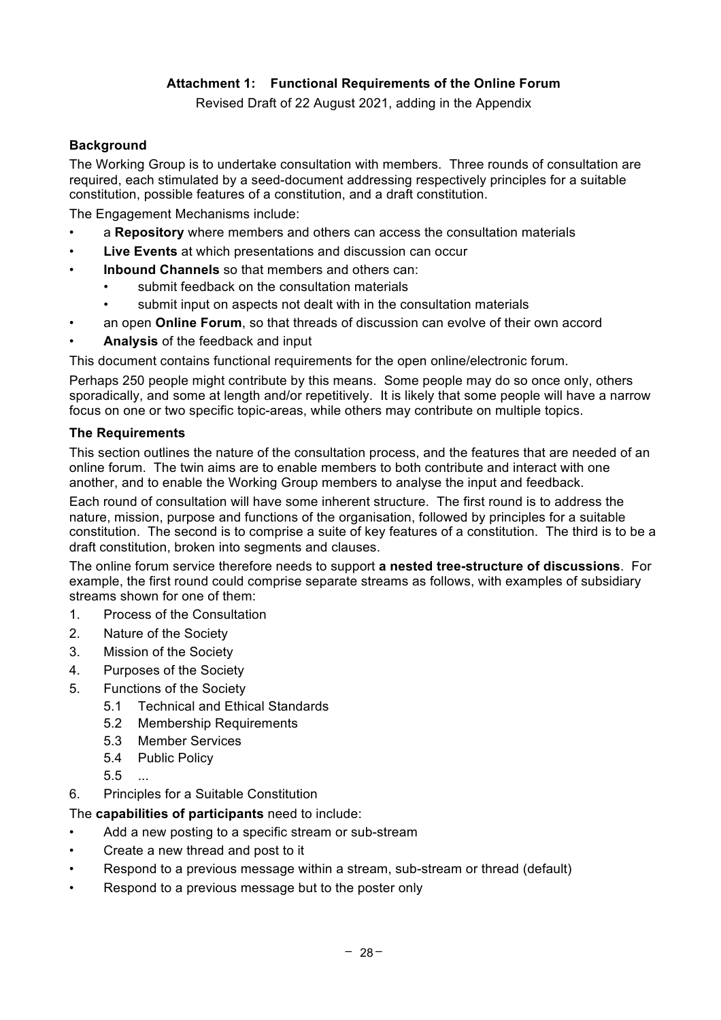## **Attachment 1: Functional Requirements of the Online Forum**

Revised Draft of 22 August 2021, adding in the Appendix

#### **Background**

The Working Group is to undertake consultation with members. Three rounds of consultation are required, each stimulated by a seed-document addressing respectively principles for a suitable constitution, possible features of a constitution, and a draft constitution.

The Engagement Mechanisms include:

- a **Repository** where members and others can access the consultation materials
- **Live Events** at which presentations and discussion can occur
- **Inbound Channels** so that members and others can:
	- submit feedback on the consultation materials
		- submit input on aspects not dealt with in the consultation materials
- an open **Online Forum**, so that threads of discussion can evolve of their own accord
- **Analysis** of the feedback and input

This document contains functional requirements for the open online/electronic forum.

Perhaps 250 people might contribute by this means. Some people may do so once only, others sporadically, and some at length and/or repetitively. It is likely that some people will have a narrow focus on one or two specific topic-areas, while others may contribute on multiple topics.

#### **The Requirements**

This section outlines the nature of the consultation process, and the features that are needed of an online forum. The twin aims are to enable members to both contribute and interact with one another, and to enable the Working Group members to analyse the input and feedback.

Each round of consultation will have some inherent structure. The first round is to address the nature, mission, purpose and functions of the organisation, followed by principles for a suitable constitution. The second is to comprise a suite of key features of a constitution. The third is to be a draft constitution, broken into segments and clauses.

The online forum service therefore needs to support **a nested tree-structure of discussions**. For example, the first round could comprise separate streams as follows, with examples of subsidiary streams shown for one of them:

- 1. Process of the Consultation
- 2. Nature of the Society
- 3. Mission of the Society
- 4. Purposes of the Society
- 5. Functions of the Society
	- 5.1 Technical and Ethical Standards
	- 5.2 Membership Requirements
	- 5.3 Member Services
	- 5.4 Public Policy
	- 5.5 ...
- 6. Principles for a Suitable Constitution

The **capabilities of participants** need to include:

- Add a new posting to a specific stream or sub-stream
- Create a new thread and post to it
- Respond to a previous message within a stream, sub-stream or thread (default)
- Respond to a previous message but to the poster only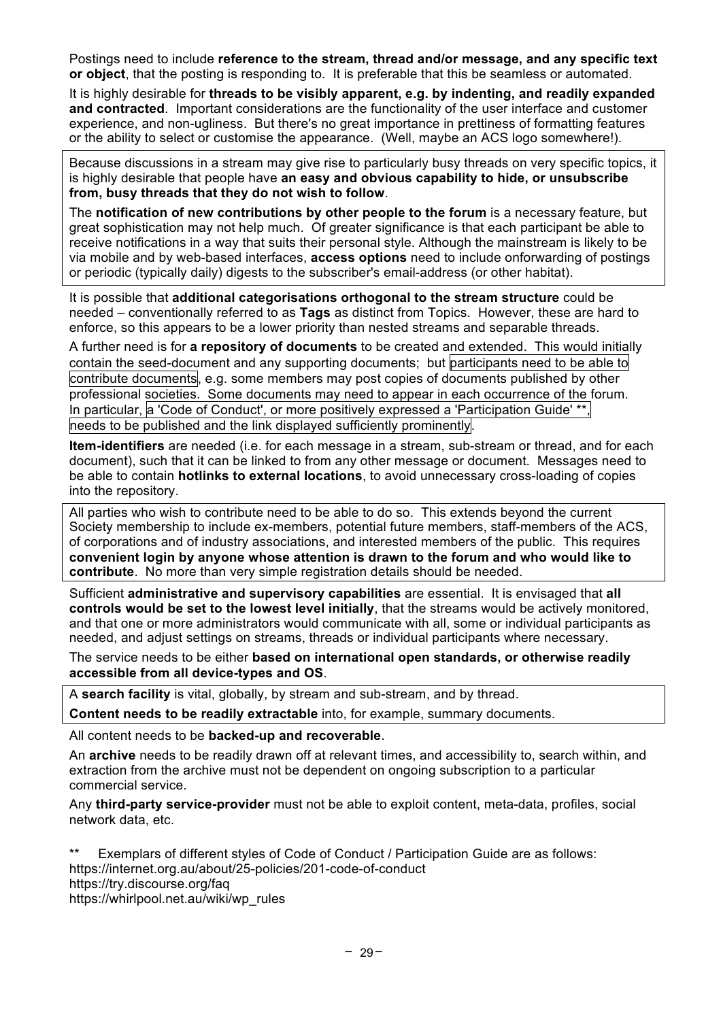Postings need to include **reference to the stream, thread and/or message, and any specific text or object**, that the posting is responding to. It is preferable that this be seamless or automated.

It is highly desirable for **threads to be visibly apparent, e.g. by indenting, and readily expanded and contracted**. Important considerations are the functionality of the user interface and customer experience, and non-ugliness. But there's no great importance in prettiness of formatting features or the ability to select or customise the appearance. (Well, maybe an ACS logo somewhere!).

Because discussions in a stream may give rise to particularly busy threads on very specific topics, it is highly desirable that people have **an easy and obvious capability to hide, or unsubscribe from, busy threads that they do not wish to follow**.

The **notification of new contributions by other people to the forum** is a necessary feature, but great sophistication may not help much. Of greater significance is that each participant be able to receive notifications in a way that suits their personal style. Although the mainstream is likely to be via mobile and by web-based interfaces, **access options** need to include onforwarding of postings or periodic (typically daily) digests to the subscriber's email-address (or other habitat).

It is possible that **additional categorisations orthogonal to the stream structure** could be needed – conventionally referred to as **Tags** as distinct from Topics. However, these are hard to enforce, so this appears to be a lower priority than nested streams and separable threads.

A further need is for **a repository of documents** to be created and extended. This would initially contain the seed-document and any supporting documents; but participants need to be able to contribute documents, e.g. some members may post copies of documents published by other professional societies. Some documents may need to appear in each occurrence of the forum. In particular, a 'Code of Conduct', or more positively expressed a 'Participation Guide' \*\* needs to be published and the link displayed sufficiently prominently.

**Item-identifiers** are needed (i.e. for each message in a stream, sub-stream or thread, and for each document), such that it can be linked to from any other message or document. Messages need to be able to contain **hotlinks to external locations**, to avoid unnecessary cross-loading of copies into the repository.

All parties who wish to contribute need to be able to do so. This extends beyond the current Society membership to include ex-members, potential future members, staff-members of the ACS, of corporations and of industry associations, and interested members of the public. This requires **convenient login by anyone whose attention is drawn to the forum and who would like to contribute**. No more than very simple registration details should be needed.

Sufficient **administrative and supervisory capabilities** are essential. It is envisaged that **all controls would be set to the lowest level initially**, that the streams would be actively monitored, and that one or more administrators would communicate with all, some or individual participants as needed, and adjust settings on streams, threads or individual participants where necessary.

The service needs to be either **based on international open standards, or otherwise readily accessible from all device-types and OS**.

A **search facility** is vital, globally, by stream and sub-stream, and by thread.

**Content needs to be readily extractable** into, for example, summary documents.

All content needs to be **backed-up and recoverable**.

An **archive** needs to be readily drawn off at relevant times, and accessibility to, search within, and extraction from the archive must not be dependent on ongoing subscription to a particular commercial service.

Any **third-party service-provider** must not be able to exploit content, meta-data, profiles, social network data, etc.

\*\* Exemplars of different styles of Code of Conduct / Participation Guide are as follows: https://internet.org.au/about/25-policies/201-code-of-conduct https://try.discourse.org/faq https://whirlpool.net.au/wiki/wp\_rules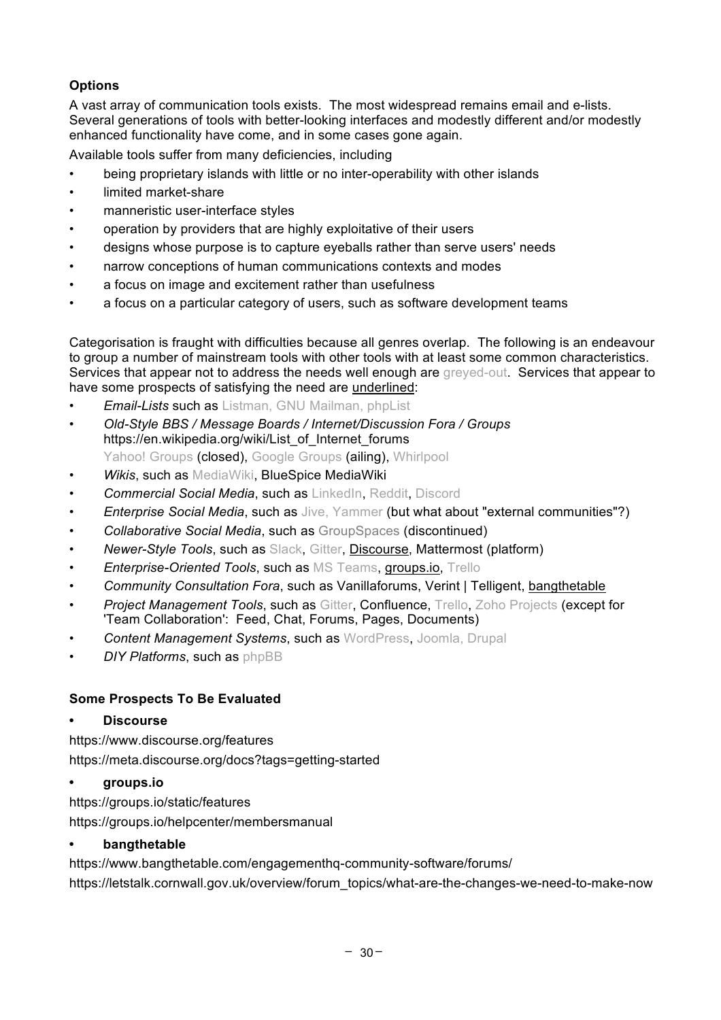## **Options**

A vast array of communication tools exists. The most widespread remains email and e-lists. Several generations of tools with better-looking interfaces and modestly different and/or modestly enhanced functionality have come, and in some cases gone again.

Available tools suffer from many deficiencies, including

- being proprietary islands with little or no inter-operability with other islands
- limited market-share
- manneristic user-interface styles
- operation by providers that are highly exploitative of their users
- designs whose purpose is to capture eyeballs rather than serve users' needs
- narrow conceptions of human communications contexts and modes
- a focus on image and excitement rather than usefulness
- a focus on a particular category of users, such as software development teams

Categorisation is fraught with difficulties because all genres overlap. The following is an endeavour to group a number of mainstream tools with other tools with at least some common characteristics. Services that appear not to address the needs well enough are greyed-out. Services that appear to have some prospects of satisfying the need are underlined:

- *Email-Lists* such as Listman, GNU Mailman, phpList
- *Old-Style BBS / Message Boards / Internet/Discussion Fora / Groups* https://en.wikipedia.org/wiki/List\_of\_Internet\_forums Yahoo! Groups (closed), Google Groups (ailing), Whirlpool
- *Wikis*, such as MediaWiki, BlueSpice MediaWiki
- *Commercial Social Media*, such as LinkedIn, Reddit, Discord
- *Enterprise Social Media*, such as Jive, Yammer (but what about "external communities"?)
- *Collaborative Social Media*, such as GroupSpaces (discontinued)
- *Newer-Style Tools*, such as Slack, Gitter, Discourse, Mattermost (platform)
- *Enterprise-Oriented Tools*, such as MS Teams, groups.io, Trello
- *Community Consultation Fora*, such as Vanillaforums, Verint | Telligent, bangthetable
- **Project Management Tools, such as Gitter, Confluence, Trello, Zoho Projects (except for** 'Team Collaboration': Feed, Chat, Forums, Pages, Documents)
- *Content Management Systems*, such as WordPress, Joomla, Drupal
- *DIY Platforms*, such as phpBB

#### **Some Prospects To Be Evaluated**

#### **• Discourse**

https://www.discourse.org/features https://meta.discourse.org/docs?tags=getting-started

#### **• groups.io**

https://groups.io/static/features https://groups.io/helpcenter/membersmanual

#### **• bangthetable**

https://www.bangthetable.com/engagementhq-community-software/forums/ https://letstalk.cornwall.gov.uk/overview/forum\_topics/what-are-the-changes-we-need-to-make-now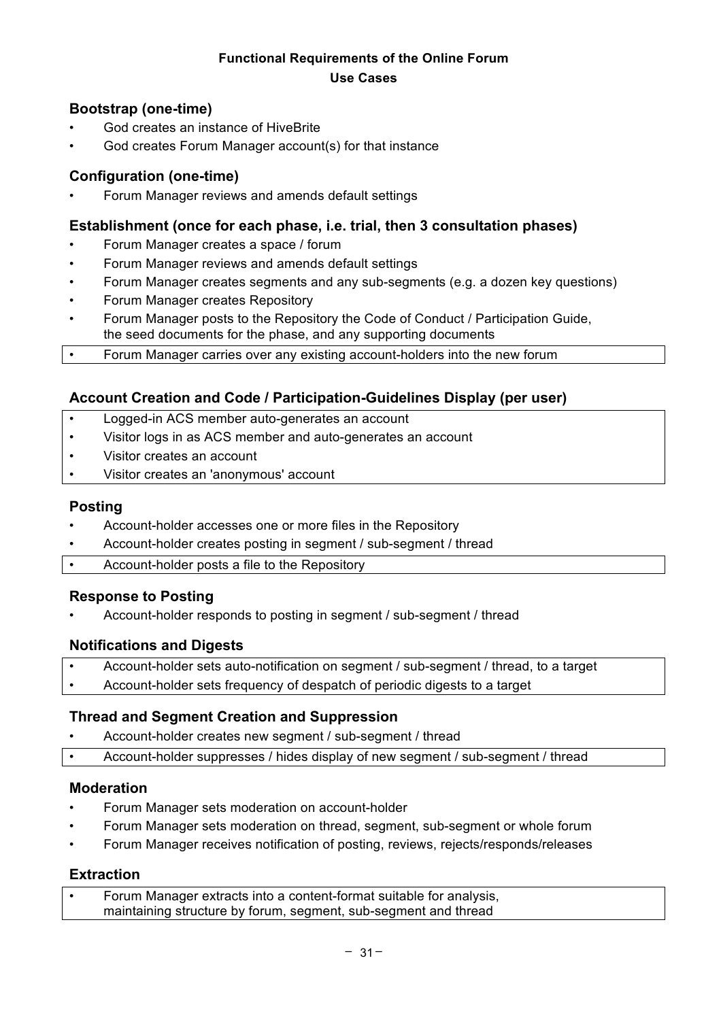## **Functional Requirements of the Online Forum Use Cases**

## **Bootstrap (one-time)**

- God creates an instance of HiveBrite
- God creates Forum Manager account(s) for that instance

## **Configuration (one-time)**

• Forum Manager reviews and amends default settings

## **Establishment (once for each phase, i.e. trial, then 3 consultation phases)**

- Forum Manager creates a space / forum
- Forum Manager reviews and amends default settings
- Forum Manager creates segments and any sub-segments (e.g. a dozen key questions)
- Forum Manager creates Repository
- Forum Manager posts to the Repository the Code of Conduct / Participation Guide, the seed documents for the phase, and any supporting documents
- Forum Manager carries over any existing account-holders into the new forum

## **Account Creation and Code / Participation-Guidelines Display (per user)**

- Logged-in ACS member auto-generates an account
- Visitor logs in as ACS member and auto-generates an account
- Visitor creates an account
- Visitor creates an 'anonymous' account

#### **Posting**

- Account-holder accesses one or more files in the Repository
- Account-holder creates posting in segment / sub-segment / thread
- Account-holder posts a file to the Repository

#### **Response to Posting**

• Account-holder responds to posting in segment / sub-segment / thread

## **Notifications and Digests**

- Account-holder sets auto-notification on segment / sub-segment / thread, to a target
- Account-holder sets frequency of despatch of periodic digests to a target

## **Thread and Segment Creation and Suppression**

• Account-holder creates new segment / sub-segment / thread

• Account-holder suppresses / hides display of new segment / sub-segment / thread

#### **Moderation**

- Forum Manager sets moderation on account-holder
- Forum Manager sets moderation on thread, segment, sub-segment or whole forum
- Forum Manager receives notification of posting, reviews, rejects/responds/releases

#### **Extraction**

| Forum Manager extracts into a content-format suitable for analysis, |
|---------------------------------------------------------------------|
| maintaining structure by forum, segment, sub-segment and thread     |